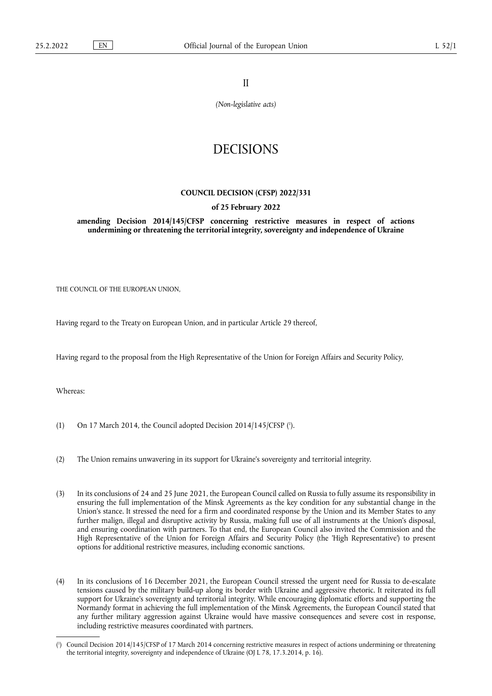II

*(Non-legislative acts)*

## DECISIONS

## **COUNCIL DECISION (CFSP) 2022/331**

## **of 25 February 2022**

**amending Decision 2014/145/CFSP concerning restrictive measures in respect of actions undermining or threatening the territorial integrity, sovereignty and independence of Ukraine** 

THE COUNCIL OF THE EUROPEAN UNION,

Having regard to the Treaty on European Union, and in particular Article 29 thereof,

Having regard to the proposal from the High Representative of the Union for Foreign Affairs and Security Policy,

Whereas:

- <span id="page-0-1"></span>(1) On 17 March 2014, the Council adopted Decision 2014/145/CFSP  $(1)$ .
- (2) The Union remains unwavering in its support for Ukraine's sovereignty and territorial integrity.
- (3) In its conclusions of 24 and 25 June 2021, the European Council called on Russia to fully assume its responsibility in ensuring the full implementation of the Minsk Agreements as the key condition for any substantial change in the Union's stance. It stressed the need for a firm and coordinated response by the Union and its Member States to any further malign, illegal and disruptive activity by Russia, making full use of all instruments at the Union's disposal, and ensuring coordination with partners. To that end, the European Council also invited the Commission and the High Representative of the Union for Foreign Affairs and Security Policy (the 'High Representative') to present options for additional restrictive measures, including economic sanctions.
- (4) In its conclusions of 16 December 2021, the European Council stressed the urgent need for Russia to de-escalate tensions caused by the military build-up along its border with Ukraine and aggressive rhetoric. It reiterated its full support for Ukraine's sovereignty and territorial integrity. While encouraging diplomatic efforts and supporting the Normandy format in achieving the full implementation of the Minsk Agreements, the European Council stated that any further military aggression against Ukraine would have massive consequences and severe cost in response, including restrictive measures coordinated with partners.

<span id="page-0-0"></span>[<sup>\(</sup>](#page-0-1) 1 ) Council Decision 2014/145/CFSP of 17 March 2014 concerning restrictive measures in respect of actions undermining or threatening the territorial integrity, sovereignty and independence of Ukraine (OJ L 78, 17.3.2014, p. 16).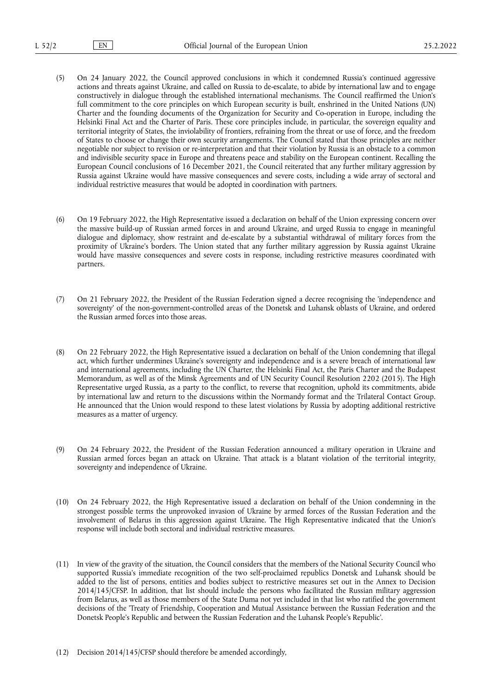- (5) On 24 January 2022, the Council approved conclusions in which it condemned Russia's continued aggressive actions and threats against Ukraine, and called on Russia to de-escalate, to abide by international law and to engage constructively in dialogue through the established international mechanisms. The Council reaffirmed the Union's full commitment to the core principles on which European security is built, enshrined in the United Nations (UN) Charter and the founding documents of the Organization for Security and Co-operation in Europe, including the Helsinki Final Act and the Charter of Paris. These core principles include, in particular, the sovereign equality and territorial integrity of States, the inviolability of frontiers, refraining from the threat or use of force, and the freedom of States to choose or change their own security arrangements. The Council stated that those principles are neither negotiable nor subject to revision or re-interpretation and that their violation by Russia is an obstacle to a common and indivisible security space in Europe and threatens peace and stability on the European continent. Recalling the European Council conclusions of 16 December 2021, the Council reiterated that any further military aggression by Russia against Ukraine would have massive consequences and severe costs, including a wide array of sectoral and individual restrictive measures that would be adopted in coordination with partners.
- (6) On 19 February 2022, the High Representative issued a declaration on behalf of the Union expressing concern over the massive build-up of Russian armed forces in and around Ukraine, and urged Russia to engage in meaningful dialogue and diplomacy, show restraint and de-escalate by a substantial withdrawal of military forces from the proximity of Ukraine's borders. The Union stated that any further military aggression by Russia against Ukraine would have massive consequences and severe costs in response, including restrictive measures coordinated with partners.
- (7) On 21 February 2022, the President of the Russian Federation signed a decree recognising the 'independence and sovereignty' of the non-government-controlled areas of the Donetsk and Luhansk oblasts of Ukraine, and ordered the Russian armed forces into those areas.
- (8) On 22 February 2022, the High Representative issued a declaration on behalf of the Union condemning that illegal act, which further undermines Ukraine's sovereignty and independence and is a severe breach of international law and international agreements, including the UN Charter, the Helsinki Final Act, the Paris Charter and the Budapest Memorandum, as well as of the Minsk Agreements and of UN Security Council Resolution 2202 (2015). The High Representative urged Russia, as a party to the conflict, to reverse that recognition, uphold its commitments, abide by international law and return to the discussions within the Normandy format and the Trilateral Contact Group. He announced that the Union would respond to these latest violations by Russia by adopting additional restrictive measures as a matter of urgency.
- (9) On 24 February 2022, the President of the Russian Federation announced a military operation in Ukraine and Russian armed forces began an attack on Ukraine. That attack is a blatant violation of the territorial integrity, sovereignty and independence of Ukraine.
- (10) On 24 February 2022, the High Representative issued a declaration on behalf of the Union condemning in the strongest possible terms the unprovoked invasion of Ukraine by armed forces of the Russian Federation and the involvement of Belarus in this aggression against Ukraine. The High Representative indicated that the Union's response will include both sectoral and individual restrictive measures.
- (11) In view of the gravity of the situation, the Council considers that the members of the National Security Council who supported Russia's immediate recognition of the two self-proclaimed republics Donetsk and Luhansk should be added to the list of persons, entities and bodies subject to restrictive measures set out in the Annex to Decision 2014/145/CFSP. In addition, that list should include the persons who facilitated the Russian military aggression from Belarus, as well as those members of the State Duma not yet included in that list who ratified the government decisions of the 'Treaty of Friendship, Cooperation and Mutual Assistance between the Russian Federation and the Donetsk People's Republic and between the Russian Federation and the Luhansk People's Republic'.
- (12) Decision 2014/145/CFSP should therefore be amended accordingly,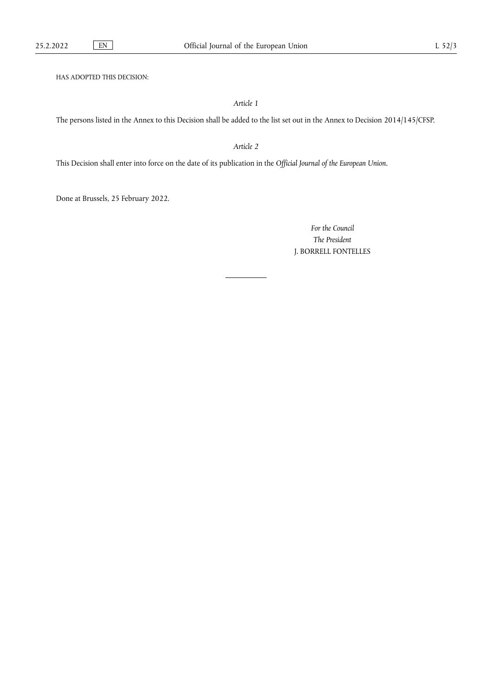HAS ADOPTED THIS DECISION:

*Article 1*

The persons listed in the Annex to this Decision shall be added to the list set out in the Annex to Decision 2014/145/CFSP.

*Article 2*

This Decision shall enter into force on the date of its publication in the *Official Journal of the European Union*.

Done at Brussels, 25 February 2022.

*For the Council The President* J. BORRELL FONTELLES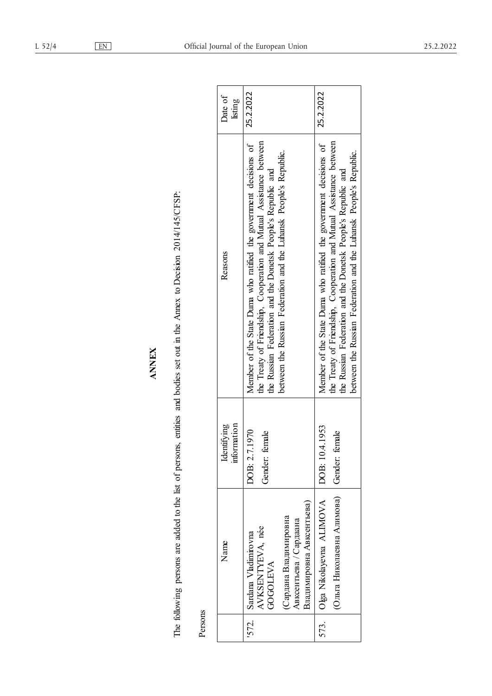| Date of<br>listing             | 25.2.2022                                                                                                                                                                                                                                                                     | 25.2.2022                                                                                                                                                                                                                                                                     |
|--------------------------------|-------------------------------------------------------------------------------------------------------------------------------------------------------------------------------------------------------------------------------------------------------------------------------|-------------------------------------------------------------------------------------------------------------------------------------------------------------------------------------------------------------------------------------------------------------------------------|
| Reasons                        | the Treaty of Friendship, Cooperation and Mutual Assistance between<br>Member of the State Duma who ratified the government decisions of<br>between the Russian Federation and the Luhansk People's Republic.<br>the Russian Federation and the Donetsk People's Republic and | the Treaty of Friendship, Cooperation and Mutual Assistance between<br>Member of the State Duma who ratified the government decisions of<br>between the Russian Federation and the Luhansk People's Republic.<br>the Russian Federation and the Donetsk People's Republic and |
| information<br>lentifying<br>Ź | DOB: 2.7.1970<br>female<br>Gender:                                                                                                                                                                                                                                            | DOB: 10.4.1953<br>female<br>Gender:                                                                                                                                                                                                                                           |
| Name                           | Владимировна Авксентьева)<br>Сардана Владимировна<br>Авксентьева / Сардаана<br>AVKSENTYEVA, née<br>'572. Sardana Vladimirovna<br><b>GOGOLEVA</b>                                                                                                                              | (Ольга Николаевна Алимова)<br>Olga Nikolayevna ALIMOVA                                                                                                                                                                                                                        |
|                                |                                                                                                                                                                                                                                                                               | 573.                                                                                                                                                                                                                                                                          |

The following persons are added to the list of persons, entities and bodies set out in the Annex to Decision 2014/145/CFSP: The following persons are added to the list of persons, entities and bodies set out in the Annex to Decision 2014/145/CFSP:

**ANNEX**

Persons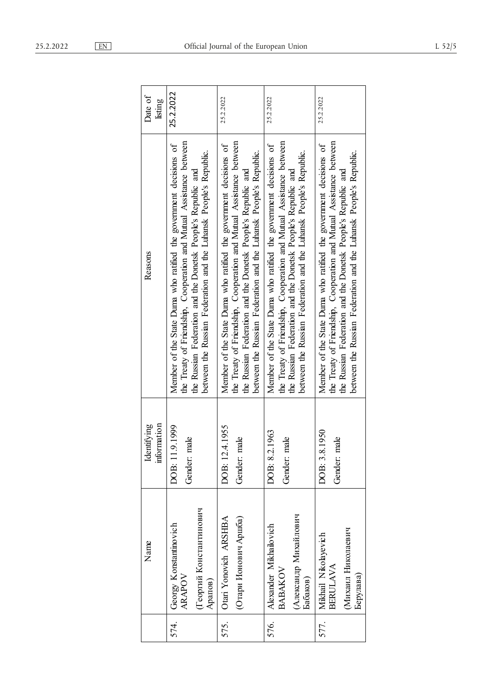| Date of<br>listing         | 25.2.2022                                                                                                                                                                                                                                                                     | 25.2.2022                                                                                                                                                                                                                                                                     | 25.2.2022                                                                                                                                                                                                                                                                     | 25.2.2022                                                                                                                                                                                                                                                                     |
|----------------------------|-------------------------------------------------------------------------------------------------------------------------------------------------------------------------------------------------------------------------------------------------------------------------------|-------------------------------------------------------------------------------------------------------------------------------------------------------------------------------------------------------------------------------------------------------------------------------|-------------------------------------------------------------------------------------------------------------------------------------------------------------------------------------------------------------------------------------------------------------------------------|-------------------------------------------------------------------------------------------------------------------------------------------------------------------------------------------------------------------------------------------------------------------------------|
| Reasons                    | the Treaty of Friendship, Cooperation and Mutual Assistance between<br>Member of the State Duma who ratified the government decisions of<br>between the Russian Federation and the Luhansk People's Republic.<br>the Russian Federation and the Donetsk People's Republic and | the Treaty of Friendship, Cooperation and Mutual Assistance between<br>Member of the State Duma who ratified the government decisions of<br>between the Russian Federation and the Luhansk People's Republic.<br>the Russian Federation and the Donetsk People's Republic and | the Treaty of Friendship, Cooperation and Mutual Assistance between<br>Member of the State Duma who ratified the government decisions of<br>between the Russian Federation and the Luhansk People's Republic.<br>the Russian Federation and the Donetsk People's Republic and | the Treaty of Friendship, Cooperation and Mutual Assistance between<br>Member of the State Duma who ratified the government decisions of<br>between the Russian Federation and the Luhansk People's Republic.<br>the Russian Federation and the Donetsk People's Republic and |
| information<br>Identifying | DOB: 11.9.1999<br>male<br>Gender:                                                                                                                                                                                                                                             | DOB: 12.4.1955<br>male<br>Gender:                                                                                                                                                                                                                                             | DOB: 8.2.1963<br>male<br>Gender:                                                                                                                                                                                                                                              | DOB: 3.8.1950<br>male<br>Gender:                                                                                                                                                                                                                                              |
| Name                       | (Георгий Константинович<br>Georgy Konstantinovich<br><b>ARAPOV</b><br>Арапов)                                                                                                                                                                                                 | (Отари Ионович Аршба)<br>Otari Yonovich ARSHBA                                                                                                                                                                                                                                | (Александр Михайлович<br>Alexander Mikhailovich<br>BABAKOV<br>Бабаков)                                                                                                                                                                                                        | (Михаил Николаевич<br>Mikhail Nikolayevich<br><b>BERULAVA</b><br>Берулава)                                                                                                                                                                                                    |
|                            | 574.                                                                                                                                                                                                                                                                          | 575.                                                                                                                                                                                                                                                                          | 576.                                                                                                                                                                                                                                                                          | 577.                                                                                                                                                                                                                                                                          |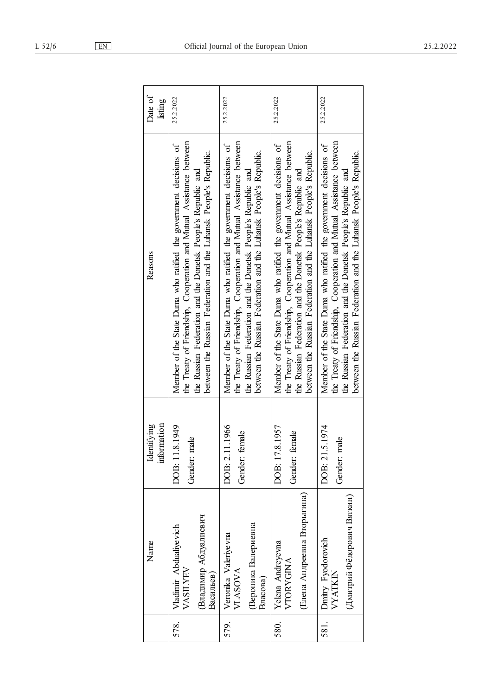| L 52/6 | EN | Official Journ |
|--------|----|----------------|
|        |    |                |

|      | Name                                                                      | information<br>Identifying          | Reasons                                                                                                                                                                                                                                                                       | Date of<br>listing |
|------|---------------------------------------------------------------------------|-------------------------------------|-------------------------------------------------------------------------------------------------------------------------------------------------------------------------------------------------------------------------------------------------------------------------------|--------------------|
| 578. | Владимир Абдуалиевич<br>Vladimir Abdualiyevich<br>VASILYEV<br>Васильев)   | DOB: 11.8.1949<br>male<br>Gender:   | the Treaty of Friendship, Cooperation and Mutual Assistance between<br>Member of the State Duma who ratified the government decisions of<br>between the Russian Federation and the Luhansk People's Republic.<br>the Russian Federation and the Donetsk People's Republic and | 25.2.2022          |
| 579. | Вероника Валериевна<br>Veronika Valeriyevna<br><b>VLASOVA</b><br>Власова) | OOB: 2.11.1966<br>female<br>Gender: | the Treaty of Friendship, Cooperation and Mutual Assistance between<br>Member of the State Duma who ratified the government decisions of<br>between the Russian Federation and the Luhansk People's Republic.<br>the Russian Federation and the Donetsk People's Republic and | 25.2.2022          |
| 580. | (Елена Андреевна Вторыгина)<br>Yelena Andreyevna<br><b>VTORYGINA</b>      | DOB: 17.8.1957<br>female<br>Gender: | the Treaty of Friendship, Cooperation and Mutual Assistance between<br>Member of the State Duma who ratified the government decisions of<br>between the Russian Federation and the Luhansk People's Republic.<br>the Russian Federation and the Donetsk People's Republic and | 25.2.2022          |
| 581. | (Дмитрий Фёдорович Вяткин)<br>Dmitry Fyodorovich<br><b>VYATKIN</b>        | DOB: 21.5.1974<br>male<br>Gender:   | the Treaty of Friendship, Cooperation and Mutual Assistance between<br>Member of the State Duma who ratified the government decisions of<br>between the Russian Federation and the Luhansk People's Republic.<br>the Russian Federation and the Donetsk People's Republic and | 25.2.2022          |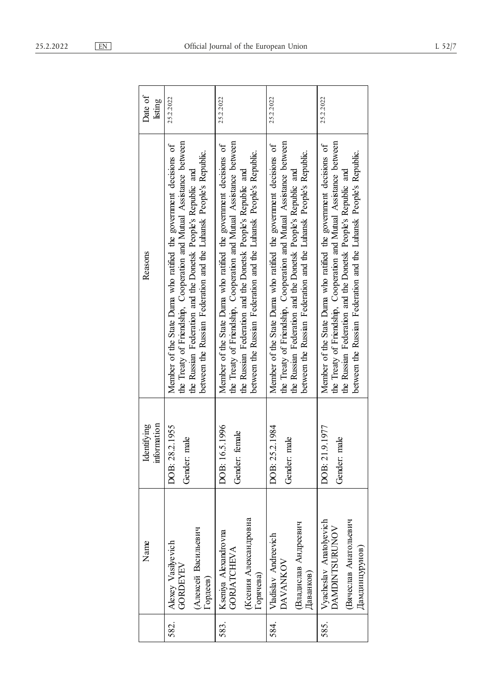|      | Name                                                                                       | information<br>Identifying           | Reasons                                                                                                                                                                                                                                                                       | Date of<br>listing |
|------|--------------------------------------------------------------------------------------------|--------------------------------------|-------------------------------------------------------------------------------------------------------------------------------------------------------------------------------------------------------------------------------------------------------------------------------|--------------------|
| 582. | (Алексей Васильевич<br>Alexey Vasilyevich<br><b>GORDEYEV</b><br>Гордеев)                   | DOB: 28.2.1955<br>male<br>Gender: 1  | the Treaty of Friendship, Cooperation and Mutual Assistance between<br>Member of the State Duma who ratified the government decisions of<br>between the Russian Federation and the Luhansk People's Republic.<br>the Russian Federation and the Donetsk People's Republic and | 25.2.2022          |
| 583. | Ксения Александровна<br>Kseniya Alexandrovna<br><b>GORJATCHEVA</b><br>Горячева)            | 5.1996<br>Gender: female<br>DOB: 16  | the Treaty of Friendship, Cooperation and Mutual Assistance between<br>Member of the State Duma who ratified the government decisions of<br>between the Russian Federation and the Luhansk People's Republic.<br>the Russian Federation and the Donetsk People's Republic and | 25.2.2022          |
| 584. | Владислав Андреевич<br>Vladislav Andreevich<br>DAVANKOV<br>Даванков)                       | DOB: 25.2.1984<br>male<br>Gender:    | the Treaty of Friendship, Cooperation and Mutual Assistance between<br>Member of the State Duma who ratified the government decisions of<br>between the Russian Federation and the Luhansk People's Republic.<br>the Russian Federation and the Donetsk People's Republic and | 25.2.2022          |
| 585. | Vyacheslav Anatolyevich<br>Вячеслав Анатольевич<br><b>DAMDINTSURUNOV</b><br>Дамдинцурунов) | 9.1977<br>male<br>DOB: 21<br>Gender: | the Treaty of Friendship, Cooperation and Mutual Assistance between<br>Member of the State Duma who ratified the government decisions of<br>between the Russian Federation and the Luhansk People's Republic.<br>the Russian Federation and the Donetsk People's Republic and | 25.2.2022          |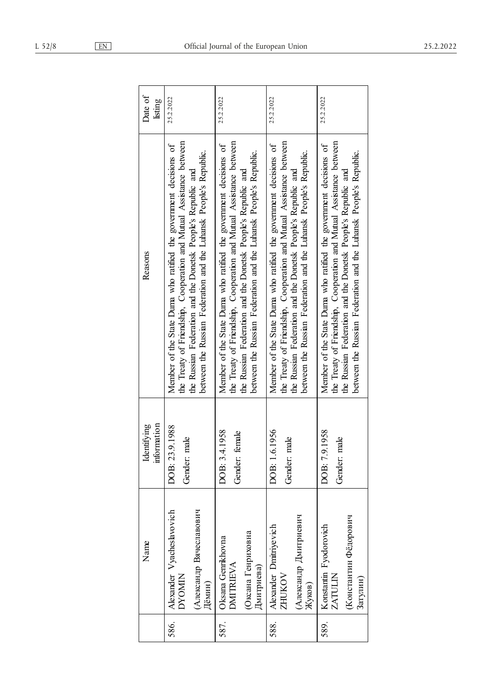| 71Q<br>2/1 |  |
|------------|--|
|            |  |

|      | Name                                                                            | information<br>Identifying         | Reasons                                                                                                                                                                                                                                                                       | Date of<br>listing |
|------|---------------------------------------------------------------------------------|------------------------------------|-------------------------------------------------------------------------------------------------------------------------------------------------------------------------------------------------------------------------------------------------------------------------------|--------------------|
| 586. | Alexander Vyacheslavovich<br>(Александр Вячеславович<br><b>NINOXC</b><br>Дёмин) | DOB: 23.9.1988<br>Gender: male     | the Treaty of Friendship, Cooperation and Mutual Assistance between<br>Member of the State Duma who ratified the government decisions of<br>between the Russian Federation and the Luhansk People's Republic.<br>the Russian Federation and the Donetsk People's Republic and | 25.2.2022          |
| 587. | (Оксана Генриховна<br>Oksana Genrikhovna<br><b>DMITRIEVA</b><br>Дмитриева)      | DOB: 3.4.1958<br>Gender: female    | the Treaty of Friendship, Cooperation and Mutual Assistance between<br>Member of the State Duma who ratified the government decisions of<br>between the Russian Federation and the Luhansk People's Republic.<br>the Russian Federation and the Donetsk People's Republic and | 25.2.2022          |
| 588. | (Александр Дмитриевич<br>Alexander Dmitriyevich<br>ZHUKOV<br>Жуков)             | DOB: 1.6.1956<br>Gender: male      | the Treaty of Friendship, Cooperation and Mutual Assistance between<br>Member of the State Duma who ratified the government decisions of<br>between the Russian Federation and the Luhansk People's Republic.<br>the Russian Federation and the Donetsk People's Republic and | 25.2.2022          |
| 589. | (Константин Фёдорович<br>Konstantin Fyodorovich<br><b>ZATULIN</b><br>Загулин)   | DOB: 7.9.1958<br>male<br>Gender: 1 | the Treaty of Friendship, Cooperation and Mutual Assistance between<br>Member of the State Duma who ratified the government decisions of<br>between the Russian Federation and the Luhansk People's Republic.<br>the Russian Federation and the Donetsk People's Republic and | 25.2.2022          |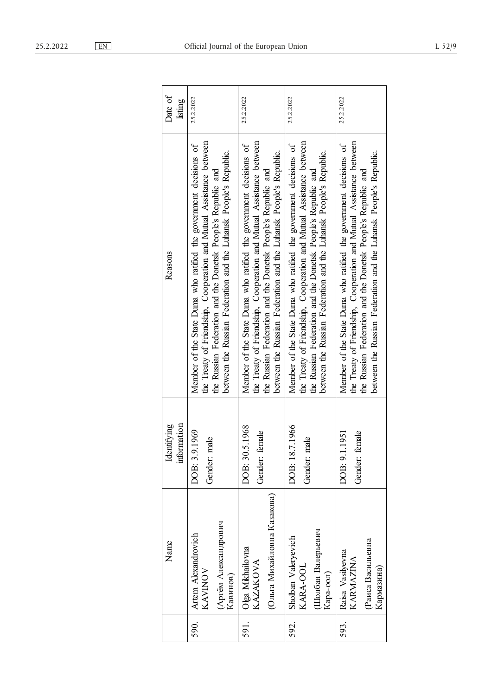|      | Name                                                               | information<br>Identifying          | Reasons                                                                                                                                                                                                                                                                       | Date of<br>listing |
|------|--------------------------------------------------------------------|-------------------------------------|-------------------------------------------------------------------------------------------------------------------------------------------------------------------------------------------------------------------------------------------------------------------------------|--------------------|
| 590. | (Артём Александрович<br>Artem Alexandrovich<br>KAVINOV<br>Кавинов) | DOB: 3.9.1969<br>male<br>Gender:    | the Treaty of Friendship, Cooperation and Mutual Assistance between<br>Member of the State Duma who ratified the government decisions of<br>between the Russian Federation and the Luhansk People's Republic.<br>the Russian Federation and the Donetsk People's Republic and | 25.2.2022          |
| 591. | (Ольга Михайловна Казакова)<br>Olga Mikhailovna<br><b>KAZAKOVA</b> | DOB: 30.5.1968<br>female<br>Gender: | the Treaty of Friendship, Cooperation and Mutual Assistance between<br>Member of the State Duma who ratified the government decisions of<br>between the Russian Federation and the Luhansk People's Republic.<br>the Russian Federation and the Donetsk People's Republic and | 25.2.2022          |
| 592. | Шолбан Валерьевич<br>Sholban Valeryevich<br>KARA-OOL<br>Кара-оол)  | DOB: 18.7.1966<br>male<br>Gender:   | the Treaty of Friendship, Cooperation and Mutual Assistance between<br>Member of the State Duma who ratified the government decisions of<br>between the Russian Federation and the Luhansk People's Republic.<br>the Russian Federation and the Donetsk People's Republic and | 25.2.2022          |
| 593. | Раиса Васильевна<br>Raisa Vasilyevna<br>KARMAZINA<br>Кармазина)    | DOB: 9.1.1951<br>female<br>Gender:  | the Treaty of Friendship, Cooperation and Mutual Assistance between<br>Member of the State Duma who ratified the government decisions of<br>between the Russian Federation and the Luhansk People's Republic.<br>the Russian Federation and the Donetsk People's Republic and | 25.2.2022          |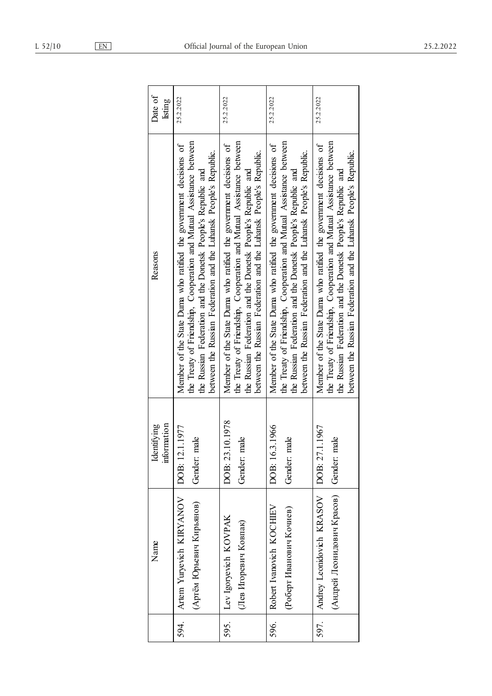| Date of<br>listing         | 25.2.2022                                                                                                                                                                                                                                                                     | 25.2.2022                                                                                                                                                                                                                                                                     | 25.2.2022                                                                                                                                                                                                                                                                     | 25.2.2022                                                                                                                                                                                                                                                                     |
|----------------------------|-------------------------------------------------------------------------------------------------------------------------------------------------------------------------------------------------------------------------------------------------------------------------------|-------------------------------------------------------------------------------------------------------------------------------------------------------------------------------------------------------------------------------------------------------------------------------|-------------------------------------------------------------------------------------------------------------------------------------------------------------------------------------------------------------------------------------------------------------------------------|-------------------------------------------------------------------------------------------------------------------------------------------------------------------------------------------------------------------------------------------------------------------------------|
| Reasons                    | the Treaty of Friendship, Cooperation and Mutual Assistance between<br>Member of the State Duma who ratified the government decisions of<br>between the Russian Federation and the Luhansk People's Republic.<br>the Russian Federation and the Donetsk People's Republic and | the Treaty of Friendship, Cooperation and Mutual Assistance between<br>Member of the State Duma who ratified the government decisions of<br>between the Russian Federation and the Luhansk People's Republic.<br>the Russian Federation and the Donetsk People's Republic and | the Treaty of Friendship, Cooperation and Mutual Assistance between<br>Member of the State Duma who ratified the government decisions of<br>between the Russian Federation and the Luhansk People's Republic.<br>the Russian Federation and the Donetsk People's Republic and | the Treaty of Friendship, Cooperation and Mutual Assistance between<br>Member of the State Duma who ratified the government decisions of<br>between the Russian Federation and the Luhansk People's Republic.<br>the Russian Federation and the Donetsk People's Republic and |
| information<br>Identifying | DOB: 12.1.1977<br>male<br>Gender:                                                                                                                                                                                                                                             | DOB: 23.10.1978<br>male<br>Gender:                                                                                                                                                                                                                                            | DOB: 16.3.1966<br>male<br>Gender:                                                                                                                                                                                                                                             | DOB: 27.1.1967<br>male<br>Gender:                                                                                                                                                                                                                                             |
| Name                       | Artem Yuryevich KIRYANOV<br>(Артём Юрьевич Кирьянов)                                                                                                                                                                                                                          | Lev Igoryevich KOVPAK<br>Лев Игоревич Ковпак)                                                                                                                                                                                                                                 | Robert Ivanovich KOCHIEV<br>(Роберт Иванович Кочиев)                                                                                                                                                                                                                          | Andrey Leonidovich KRASOV<br>(Андрей Леонидович Красов)                                                                                                                                                                                                                       |
|                            | 594.                                                                                                                                                                                                                                                                          | 595.                                                                                                                                                                                                                                                                          | 596.                                                                                                                                                                                                                                                                          | 597.                                                                                                                                                                                                                                                                          |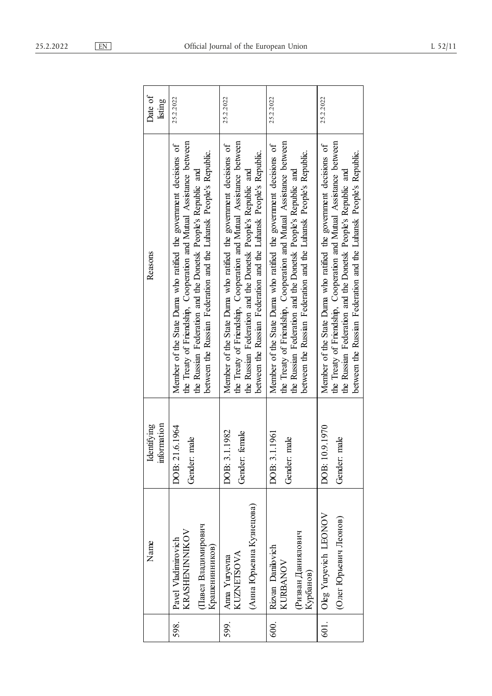| 1.202 |  |
|-------|--|
|-------|--|

| Date of<br>listing         | 25.2.2022                                                                                                                                                                                                                                                                     | 25.2.2022                                                                                                                                                                                                                                                                     | 25.2.2022                                                                                                                                                                                                                                                                     | 25.2.2022                                                                                                                                                                                                                                                                     |
|----------------------------|-------------------------------------------------------------------------------------------------------------------------------------------------------------------------------------------------------------------------------------------------------------------------------|-------------------------------------------------------------------------------------------------------------------------------------------------------------------------------------------------------------------------------------------------------------------------------|-------------------------------------------------------------------------------------------------------------------------------------------------------------------------------------------------------------------------------------------------------------------------------|-------------------------------------------------------------------------------------------------------------------------------------------------------------------------------------------------------------------------------------------------------------------------------|
| Reasons                    | the Treaty of Friendship, Cooperation and Mutual Assistance between<br>Member of the State Duma who ratified the government decisions of<br>between the Russian Federation and the Luhansk People's Republic.<br>the Russian Federation and the Donetsk People's Republic and | the Treaty of Friendship, Cooperation and Mutual Assistance between<br>Member of the State Duma who ratified the government decisions of<br>between the Russian Federation and the Luhansk People's Republic.<br>the Russian Federation and the Donetsk People's Republic and | the Treaty of Friendship, Cooperation and Mutual Assistance between<br>Member of the State Duma who ratified the government decisions of<br>between the Russian Federation and the Luhansk People's Republic.<br>the Russian Federation and the Donetsk People's Republic and | the Treaty of Friendship, Cooperation and Mutual Assistance between<br>Member of the State Duma who ratified the government decisions of<br>between the Russian Federation and the Luhansk People's Republic.<br>the Russian Federation and the Donetsk People's Republic and |
| information<br>Identifying | 1.6.1964<br>male<br>DOB: 21<br>Gender:                                                                                                                                                                                                                                        | DOB: 3.1.1982<br>female<br>Gender:                                                                                                                                                                                                                                            | DOB: 3.1.1961<br>male<br>Gender:                                                                                                                                                                                                                                              | DOB: 10.9.1970<br>male<br>Gender:                                                                                                                                                                                                                                             |
| Name                       | Павел Владимирович<br>KRASHENINNIKOV<br>Pavel Vladimiro vich<br>Крашенинников)                                                                                                                                                                                                | (Анна Юрьевна Кузнецова)<br><b>KUZNETSOVA</b><br>Anna Yuryevna                                                                                                                                                                                                                | Ризван Даниялович<br>Rizvan Danilovich<br>KURBANOV<br>Курбанов)                                                                                                                                                                                                               | Oleg Yuryevich LEONOV<br>(Олег Юрьевич Леонов)                                                                                                                                                                                                                                |
|                            | 598.                                                                                                                                                                                                                                                                          | 599.                                                                                                                                                                                                                                                                          | 600.                                                                                                                                                                                                                                                                          | 601.                                                                                                                                                                                                                                                                          |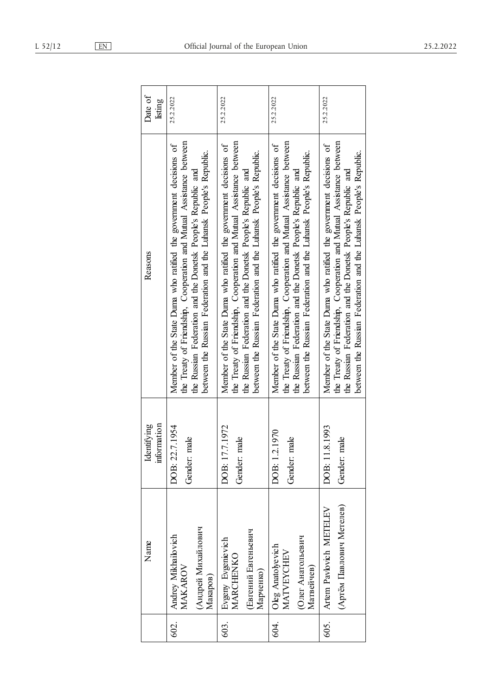|  | Official Journal of the |  |
|--|-------------------------|--|
|  |                         |  |
|  |                         |  |
|  |                         |  |

| Date of<br>listing        | 25.2.2022                                                                                                                                                                                                                                                                     | 25.2.2022                                                                                                                                                                                                                                                                     | 25.2.2022                                                                                                                                                                                                                                                                     | 25.2.2022                                                                                                                                                                                                                                                                     |
|---------------------------|-------------------------------------------------------------------------------------------------------------------------------------------------------------------------------------------------------------------------------------------------------------------------------|-------------------------------------------------------------------------------------------------------------------------------------------------------------------------------------------------------------------------------------------------------------------------------|-------------------------------------------------------------------------------------------------------------------------------------------------------------------------------------------------------------------------------------------------------------------------------|-------------------------------------------------------------------------------------------------------------------------------------------------------------------------------------------------------------------------------------------------------------------------------|
| Reasons                   | the Treaty of Friendship, Cooperation and Mutual Assistance between<br>Member of the State Duma who ratified the government decisions of<br>between the Russian Federation and the Luhansk People's Republic.<br>the Russian Federation and the Donetsk People's Republic and | the Treaty of Friendship, Cooperation and Mutual Assistance between<br>Member of the State Duma who ratified the government decisions of<br>between the Russian Federation and the Luhansk People's Republic.<br>the Russian Federation and the Donetsk People's Republic and | the Treaty of Friendship, Cooperation and Mutual Assistance between<br>Member of the State Duma who ratified the government decisions of<br>between the Russian Federation and the Luhansk People's Republic.<br>the Russian Federation and the Donetsk People's Republic and | the Treaty of Friendship, Cooperation and Mutual Assistance between<br>Member of the State Duma who ratified the government decisions of<br>between the Russian Federation and the Luhansk People's Republic.<br>the Russian Federation and the Donetsk People's Republic and |
| nformation<br>Identifying | DOB: 22.7.1954<br>Gender: male                                                                                                                                                                                                                                                | DOB: 17.7.1972<br>Gender: male                                                                                                                                                                                                                                                | 1.2.1970<br>Gender: male<br>DOB:                                                                                                                                                                                                                                              | 11.8.1993<br>Gender: male<br>DOB:                                                                                                                                                                                                                                             |
| Name                      | (Андрей Михайлович<br>Andrey Mikhailo vich<br>MAKAROV<br>Макаров)                                                                                                                                                                                                             | (Евгений Евгеньевич<br>Evgeny Evgenie vich<br>MARCHENKO<br>Марченко)                                                                                                                                                                                                          | Олег Анатольевич<br>Oleg Anatolyevich<br>MATVEYCHEV<br>Матвейчев)                                                                                                                                                                                                             | (Артём Павлович Метелев)<br>Artem Pavlovich METELEV                                                                                                                                                                                                                           |
|                           | 602.                                                                                                                                                                                                                                                                          | 603.                                                                                                                                                                                                                                                                          | 64.                                                                                                                                                                                                                                                                           | 605.                                                                                                                                                                                                                                                                          |

European

 $\overline{\phantom{a}}$ 

 $\overline{\phantom{0}}$ 

 $\mathsf T$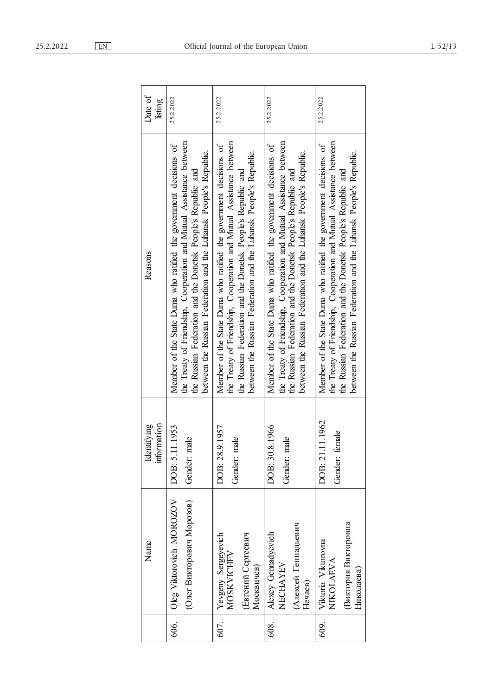| <u>EN</u> |                      |                |      |           |       | Official Journal of the I |
|-----------|----------------------|----------------|------|-----------|-------|---------------------------|
|           |                      |                |      |           |       |                           |
|           | $\sum$ of<br>listing | 25.2.2022      |      | 25.2.2022 |       |                           |
|           |                      | is of<br>tween | pic. | is of     | tween | рĹ.                       |

| Date of<br>listing        | 25.2.2022                                                                                                                                                                                                                                                                     | 25.2.2022                                                                                                                                                                                                                                                                     | 25.2.2022                                                                                                                                                                                                                                                                     | 25.2.2022                                                                                                                                                                                                                                                                     |
|---------------------------|-------------------------------------------------------------------------------------------------------------------------------------------------------------------------------------------------------------------------------------------------------------------------------|-------------------------------------------------------------------------------------------------------------------------------------------------------------------------------------------------------------------------------------------------------------------------------|-------------------------------------------------------------------------------------------------------------------------------------------------------------------------------------------------------------------------------------------------------------------------------|-------------------------------------------------------------------------------------------------------------------------------------------------------------------------------------------------------------------------------------------------------------------------------|
| Reasons                   | the Treaty of Friendship, Cooperation and Mutual Assistance between<br>Member of the State Duma who ratified the government decisions of<br>between the Russian Federation and the Luhansk People's Republic.<br>the Russian Federation and the Donetsk People's Republic and | the Treaty of Friendship, Cooperation and Mutual Assistance between<br>Member of the State Duma who ratified the government decisions of<br>between the Russian Federation and the Luhansk People's Republic.<br>the Russian Federation and the Donetsk People's Republic and | the Treaty of Friendship, Cooperation and Mutual Assistance between<br>Member of the State Duma who ratified the government decisions of<br>between the Russian Federation and the Luhansk People's Republic.<br>the Russian Federation and the Donetsk People's Republic and | the Treaty of Friendship, Cooperation and Mutual Assistance between<br>Member of the State Duma who ratified the government decisions of<br>between the Russian Federation and the Luhansk People's Republic.<br>the Russian Federation and the Donetsk People's Republic and |
| information<br>dentifying | 5.11.1953<br>Gender: male<br>DOB:                                                                                                                                                                                                                                             | 28.9.1957<br>Gender: male<br>DOB:                                                                                                                                                                                                                                             | 30.8.1966<br>Gender: male<br>DOB:                                                                                                                                                                                                                                             | DOB: 21.11.1962<br>Gender: female                                                                                                                                                                                                                                             |
| Name                      | Oleg Viktorovich MOROZOV<br>(Олег Викторович Морозов)                                                                                                                                                                                                                         | Yevgeny Sergeyevich<br>Евгений Сергеевич<br>MOSKVICHEV<br>Москвичев)                                                                                                                                                                                                          | (Алексей Геннадьевич<br>Alexey Gemadyevich<br>NECHAYEV<br>Нечаев)                                                                                                                                                                                                             | Виктория Викторовна<br>Viktoria Viktorovna<br>NIKOLAEVA<br>Николаева)                                                                                                                                                                                                         |
|                           | 606.                                                                                                                                                                                                                                                                          | 607.                                                                                                                                                                                                                                                                          | 608.                                                                                                                                                                                                                                                                          | 609.                                                                                                                                                                                                                                                                          |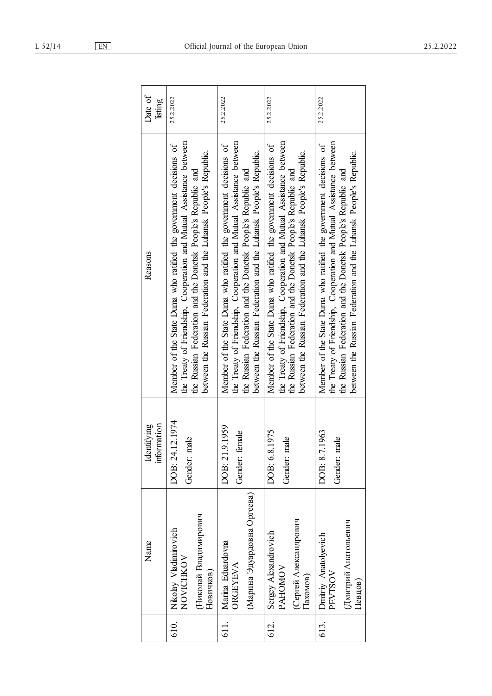|                                                                          | Name | information<br>Identifying          | Reasons                                                                                                                                                                                                                                                                       | Date of<br>listing |
|--------------------------------------------------------------------------|------|-------------------------------------|-------------------------------------------------------------------------------------------------------------------------------------------------------------------------------------------------------------------------------------------------------------------------------|--------------------|
| (Николай Владимирович<br>Nikolay Vladimirovich<br>NOVICHKOV<br>Новичков) |      | DOB: 24.12.1974<br>male<br>Gender:  | the Treaty of Friendship, Cooperation and Mutual Assistance between<br>Member of the State Duma who ratified the government decisions of<br>between the Russian Federation and the Luhansk People's Republic.<br>the Russian Federation and the Donetsk People's Republic and | 25.2.2022          |
| (Марина Эдуардовна Оргеева)<br>Marina Eduardovna<br><b>ORGEYEVA</b>      |      | DOB: 21.9.1959<br>female<br>Gender: | the Treaty of Friendship, Cooperation and Mutual Assistance between<br>Member of the State Duma who ratified the government decisions of<br>between the Russian Federation and the Luhansk People's Republic.<br>the Russian Federation and the Donetsk People's Republic and | 25.2.2022          |
| (Сергей Александрович<br>Sergey Alexandrovich<br>PAHOMOV<br>laxoмов)     |      | DOB: 6.8.1975<br>Gender: male       | the Treaty of Friendship, Cooperation and Mutual Assistance between<br>Member of the State Duma who ratified the government decisions of<br>between the Russian Federation and the Luhansk People's Republic.<br>the Russian Federation and the Donetsk People's Republic and | 25.2.2022          |
| Дмитрий Анатольевич<br>Dmitriy Anatolyevich<br>PEVTSOV<br>[Гевцов]       |      | DOB: 8.7.1963<br>male<br>Gender:    | the Treaty of Friendship, Cooperation and Mutual Assistance between<br>Member of the State Duma who ratified the government decisions of<br>between the Russian Federation and the Luhansk People's Republic.<br>the Russian Federation and the Donetsk People's Republic and | 25.2.2022          |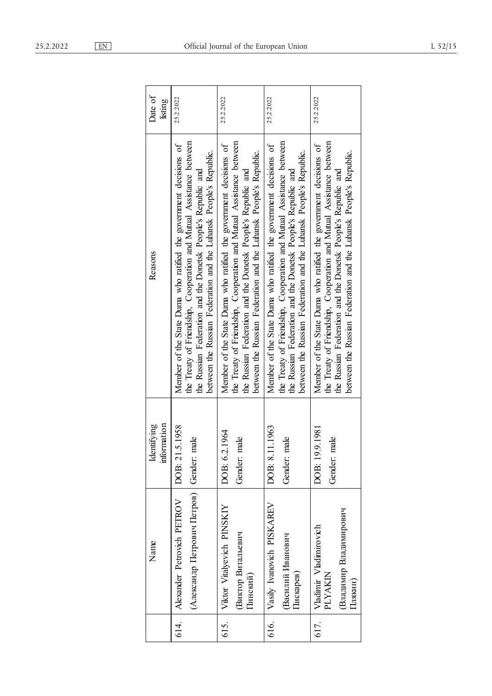|      | Name                                                                  | information<br>Identifying        | Reasons                                                                                                                                                                                                                                                                       | Date of<br>listing |
|------|-----------------------------------------------------------------------|-----------------------------------|-------------------------------------------------------------------------------------------------------------------------------------------------------------------------------------------------------------------------------------------------------------------------------|--------------------|
| 614. | (Александр Петрович Петров)<br>Alexander Petrovich PETROV             | DOB: 21.5.1958<br>male<br>Gender: | the Treaty of Friendship, Cooperation and Mutual Assistance between<br>Member of the State Duma who ratified the government decisions of<br>between the Russian Federation and the Luhansk People's Republic.<br>the Russian Federation and the Donetsk People's Republic and | 25.2.2022          |
| 615. | Viktor Vitalyevich PINSKIY<br>Виктор Витальевич<br>Пинский)           | DOB: 6.2.1964<br>male<br>Gender:  | the Treaty of Friendship, Cooperation and Mutual Assistance between<br>Member of the State Duma who ratified the government decisions of<br>between the Russian Federation and the Luhansk People's Republic.<br>the Russian Federation and the Donetsk People's Republic and | 25.2.2022          |
| 616. | Vasily Ivanovich PISKAREV<br>Василий Иванович<br>Пискарев)            | DOB: 8.11.1963<br>male<br>Gender: | the Treaty of Friendship, Cooperation and Mutual Assistance between<br>Member of the State Duma who ratified the government decisions of<br>between the Russian Federation and the Luhansk People's Republic.<br>the Russian Federation and the Donetsk People's Republic and | 25.2.2022          |
| 617. | Владимир Владимирович<br>Vladimir Vladimirovich<br>PLYAKIN<br>Плякин) | DOB: 19.9.1981<br>male<br>Gender: | the Treaty of Friendship, Cooperation and Mutual Assistance between<br>Member of the State Duma who ratified the government decisions of<br>between the Russian Federation and the Luhansk People's Republic.<br>the Russian Federation and the Donetsk People's Republic and | 25.2.2022          |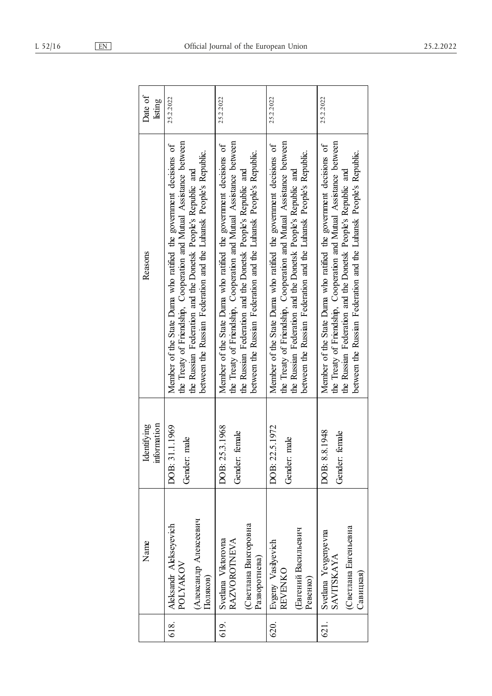| Name                                                                                                                       | information<br>Identifying | Reasons                                                                                                                                                                                                                                                                       | Date of<br>listing |
|----------------------------------------------------------------------------------------------------------------------------|----------------------------|-------------------------------------------------------------------------------------------------------------------------------------------------------------------------------------------------------------------------------------------------------------------------------|--------------------|
| .1.1969<br>male<br>Gender: 1<br>DOB: 31<br>(Александр Алексеевич<br>Aleksandr Alekseyevich<br>POLYAKOV<br>Поляков)         |                            | the Treaty of Friendship, Cooperation and Mutual Assistance between<br>Member of the State Duma who ratified the government decisions of<br>between the Russian Federation and the Luhansk People's Republic.<br>the Russian Federation and the Donetsk People's Republic and | 25.2.2022          |
| DOB: 25.3.1968<br>female<br>Gender:<br>(Светлана Викторовна<br>Svetlana Viktorovna<br><b>RAZVOROTNEVA</b><br>Разворотнева) |                            | the Treaty of Friendship, Cooperation and Mutual Assistance between<br>Member of the State Duma who ratified the government decisions of<br>between the Russian Federation and the Luhansk People's Republic.<br>the Russian Federation and the Donetsk People's Republic and | 25.2.2022          |
| 5.1972.<br>male<br>DOB: 22.<br>Gender:<br>(Евгений Васильевич<br>Evgeny Vasilyevich<br><b>REVENKO</b><br>Ревенко)          |                            | the Treaty of Friendship, Cooperation and Mutual Assistance between<br>Member of the State Duma who ratified the government decisions of<br>between the Russian Federation and the Luhansk People's Republic.<br>the Russian Federation and the Donetsk People's Republic and | 25.2.2022          |
| DOB: 8.8.1948<br>female<br>Gender:<br>(Светлана Евгеньевна<br>Svetlana Yevgenyevna<br><b>SAVITSKAYA</b><br>Савицкая)       |                            | the Treaty of Friendship, Cooperation and Mutual Assistance between<br>Member of the State Duma who ratified the government decisions of<br>between the Russian Federation and the Luhansk People's Republic.<br>the Russian Federation and the Donetsk People's Republic and | 25.2.2022          |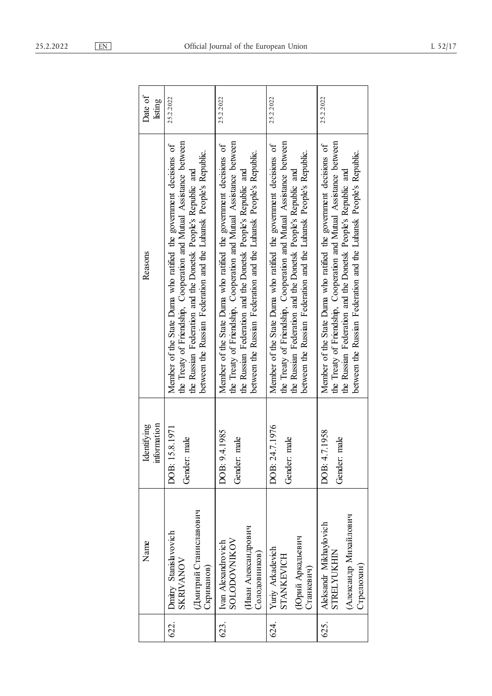| Name                                                                                                                    | information<br>Identifying | Reasons                                                                                                                                                                                                                                                                       | Date of<br>listing |
|-------------------------------------------------------------------------------------------------------------------------|----------------------------|-------------------------------------------------------------------------------------------------------------------------------------------------------------------------------------------------------------------------------------------------------------------------------|--------------------|
| DOB: 15.8.1971<br>male<br>Gender:<br>(Дмитрий Станиславович<br>Dmitry Stanislavovich<br><b>SKRIVANOV</b><br>Скриванов)  |                            | the Treaty of Friendship, Cooperation and Mutual Assistance between<br>Member of the State Duma who ratified the government decisions of<br>between the Russian Federation and the Luhansk People's Republic.<br>the Russian Federation and the Donetsk People's Republic and | 25.2.2022          |
| DOB: 9.4.1985<br>male<br>Gender:<br>Иван Александрович<br><b>SOLODOVNIKOV</b><br>Ivan Alexandrovich<br>Солодовников)    |                            | the Treaty of Friendship, Cooperation and Mutual Assistance between<br>Member of the State Duma who ratified the government decisions of<br>between the Russian Federation and the Luhansk People's Republic.<br>the Russian Federation and the Donetsk People's Republic and | 25.2.2022          |
| DOB: 24.7.1976<br>male<br>Gender:<br>(Юрий Аркадьевич<br>Yuriy Arkadevich<br>STANKEVICH<br>Станкевич)                   |                            | the Treaty of Friendship, Cooperation and Mutual Assistance between<br>Member of the State Duma who ratified the government decisions of<br>between the Russian Federation and the Luhansk People's Republic.<br>the Russian Federation and the Donetsk People's Republic and | 25.2.2022          |
| DOB: 4.7.1958<br>male<br>Gender:<br>(Александр Михайлович<br>Aleksandr Mikhaylovich<br><b>STRELYUKHIN</b><br>Стрелюхин) |                            | the Treaty of Friendship, Cooperation and Mutual Assistance between<br>Member of the State Duma who ratified the government decisions of<br>between the Russian Federation and the Luhansk People's Republic.<br>the Russian Federation and the Donetsk People's Republic and | 25.2.2022          |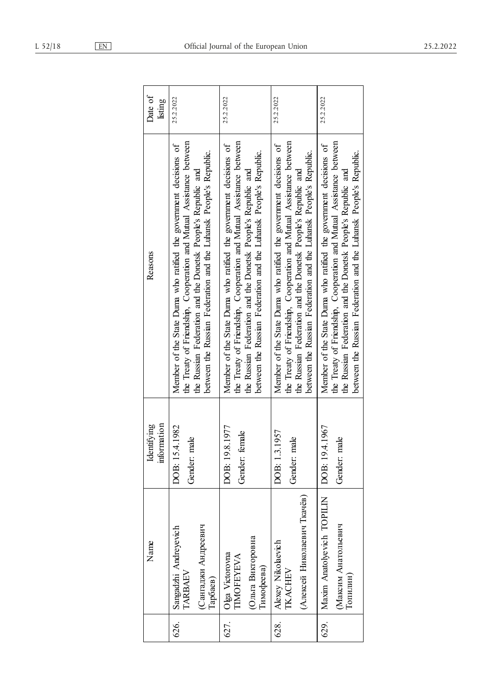|  | ٠ |  |
|--|---|--|
|--|---|--|

|      | Name                                                                    | information<br>Identifying             | Reasons                                                                                                                                                                                                                                                                       | Date of<br>listing |
|------|-------------------------------------------------------------------------|----------------------------------------|-------------------------------------------------------------------------------------------------------------------------------------------------------------------------------------------------------------------------------------------------------------------------------|--------------------|
| 626. | Сангаджи Андреевич<br>Sangadzhi Andreyevich<br>TARBAEV<br>Тарбаев)      | .4.1982<br>male<br>DOB: 15<br>Gender:  | the Treaty of Friendship, Cooperation and Mutual Assistance between<br>Member of the State Duma who ratified the government decisions of<br>between the Russian Federation and the Luhansk People's Republic.<br>the Russian Federation and the Donetsk People's Republic and | 25.2.2022          |
| 627. | (Ольга Викторовна<br>Olga Victorovna<br><b>TIMOFEYEVA</b><br>Тимофеева) | DOB: 19.8.1977<br>female<br>Gender:    | the Treaty of Friendship, Cooperation and Mutual Assistance between<br>Member of the State Duma who ratified the government decisions of<br>between the Russian Federation and the Luhansk People's Republic.<br>the Russian Federation and the Donetsk People's Republic and | 25.2.2022          |
| 628. | (Алексей Николаевич Ткачёв)<br>Alexey Nikolaevich<br><b>IKACHEV</b>     | DOB: 1.3.1957<br>male<br>Gender:       | the Treaty of Friendship, Cooperation and Mutual Assistance between<br>Member of the State Duma who ratified the government decisions of<br>between the Russian Federation and the Luhansk People's Republic.<br>the Russian Federation and the Donetsk People's Republic and | 25.2.2022          |
| 629. | Maxim Anatolyevich TOPILIN<br>Максим Анатольевич<br>Гопилин)            | .4.1967<br>male<br>DOB: 19.<br>Gender: | the Treaty of Friendship, Cooperation and Mutual Assistance between<br>Member of the State Duma who ratified the government decisions of<br>between the Russian Federation and the Luhansk People's Republic.<br>the Russian Federation and the Donetsk People's Republic and | 25.2.2022          |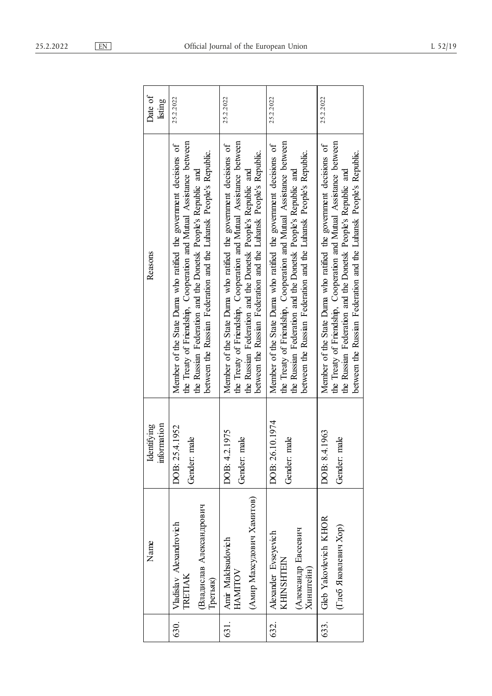| 1.202 |  |
|-------|--|
|-------|--|

| Date of<br>listing         | 25.2.2022                                                                                                                                                                                                                                                                     | 25.2.2022                                                                                                                                                                                                                                                                     | 25.2.2022                                                                                                                                                                                                                                                                     | 25.2.2022                                                                                                                                                                                                                                                                     |
|----------------------------|-------------------------------------------------------------------------------------------------------------------------------------------------------------------------------------------------------------------------------------------------------------------------------|-------------------------------------------------------------------------------------------------------------------------------------------------------------------------------------------------------------------------------------------------------------------------------|-------------------------------------------------------------------------------------------------------------------------------------------------------------------------------------------------------------------------------------------------------------------------------|-------------------------------------------------------------------------------------------------------------------------------------------------------------------------------------------------------------------------------------------------------------------------------|
| Reasons                    | the Treaty of Friendship, Cooperation and Mutual Assistance between<br>Member of the State Duma who ratified the government decisions of<br>between the Russian Federation and the Luhansk People's Republic.<br>the Russian Federation and the Donetsk People's Republic and | the Treaty of Friendship, Cooperation and Mutual Assistance between<br>Member of the State Duma who ratified the government decisions of<br>between the Russian Federation and the Luhansk People's Republic.<br>the Russian Federation and the Donetsk People's Republic and | the Treaty of Friendship, Cooperation and Mutual Assistance between<br>Member of the State Duma who ratified the government decisions of<br>between the Russian Federation and the Luhansk People's Republic.<br>the Russian Federation and the Donetsk People's Republic and | the Treaty of Friendship, Cooperation and Mutual Assistance between<br>Member of the State Duma who ratified the government decisions of<br>between the Russian Federation and the Luhansk People's Republic.<br>the Russian Federation and the Donetsk People's Republic and |
| information<br>Identifying | DOB: 25.4.1952<br>male<br>Gender:                                                                                                                                                                                                                                             | DOB: 4.2.1975<br>Gender: male                                                                                                                                                                                                                                                 | DOB: 26.10.1974<br>male<br>Gender:                                                                                                                                                                                                                                            | DOB: 8.4.1963<br>male<br>Gender:                                                                                                                                                                                                                                              |
| Name                       | Владислав Александрович<br>Vladislav Alexandrovich<br><b>IRETIAK</b><br>Гретьяк)                                                                                                                                                                                              | (Амир Махсудович Хамитов)<br>Amir Makhsudovich<br>HAMITOV                                                                                                                                                                                                                     | Александр Евсеевич<br>Alexander Evseyevich<br>KHNSHTEIN<br>Хинштейн)                                                                                                                                                                                                          | Gleb Yakovlevich KHOR<br>(Глеб Яковлевич Хор)                                                                                                                                                                                                                                 |
|                            | 630.                                                                                                                                                                                                                                                                          | 631.                                                                                                                                                                                                                                                                          | 62.                                                                                                                                                                                                                                                                           | 63.                                                                                                                                                                                                                                                                           |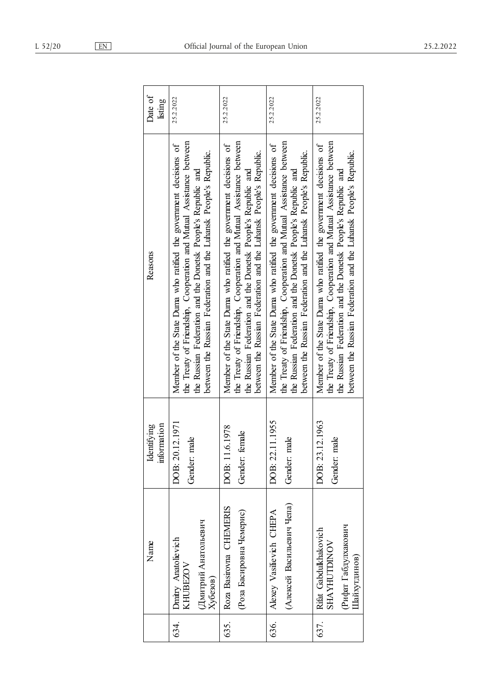| Official Journal of the |  |  |
|-------------------------|--|--|
|                         |  |  |

|      | Name                                                                                 | information<br>Identifying          | Reasons                                                                                                                                                                                                                                                                       | Date of<br>listing |
|------|--------------------------------------------------------------------------------------|-------------------------------------|-------------------------------------------------------------------------------------------------------------------------------------------------------------------------------------------------------------------------------------------------------------------------------|--------------------|
| 634. | Дмитрий Анатольевич<br>Dmitry Anatolievich<br>KHUBEZOV<br>Хубезов)                   | DOB: 20.12.1971<br>male<br>Gender:  | the Treaty of Friendship, Cooperation and Mutual Assistance between<br>Member of the State Duma who ratified the government decisions of<br>between the Russian Federation and the Luhansk People's Republic.<br>the Russian Federation and the Donetsk People's Republic and | 25.2.2022          |
| 635. | Roza Basirovna CHEMERIS<br>Роза Басировна Чемерис)                                   | DOB: 11.6.1978<br>female<br>Gender: | the Treaty of Friendship, Cooperation and Mutual Assistance between<br>Member of the State Duma who ratified the government decisions of<br>between the Russian Federation and the Luhansk People's Republic.<br>the Russian Federation and the Donetsk People's Republic and | 25.2.2022          |
| 636. | (Алексей Васильевич Чепа)<br>Alexey Vasilievich CHEPA                                | DOB: 22.11.1955<br>male<br>Gender:  | the Treaty of Friendship, Cooperation and Mutual Assistance between<br>Member of the State Duma who ratified the government decisions of<br>between the Russian Federation and the Luhansk People's Republic.<br>the Russian Federation and the Donetsk People's Republic and | 25.2.2022          |
| 637. | (Рифат Габдулхакович<br>Rifat Gabdulkhakovich<br><b>SHAYHUTDINOV</b><br>Пайхугдинов) | DOB: 23.12.1963<br>male<br>Gender:  | the Treaty of Friendship, Cooperation and Mutual Assistance between<br>Member of the State Duma who ratified the government decisions of<br>between the Russian Federation and the Luhansk People's Republic.<br>the Russian Federation and the Donetsk People's Republic and | 25.2.2022          |

European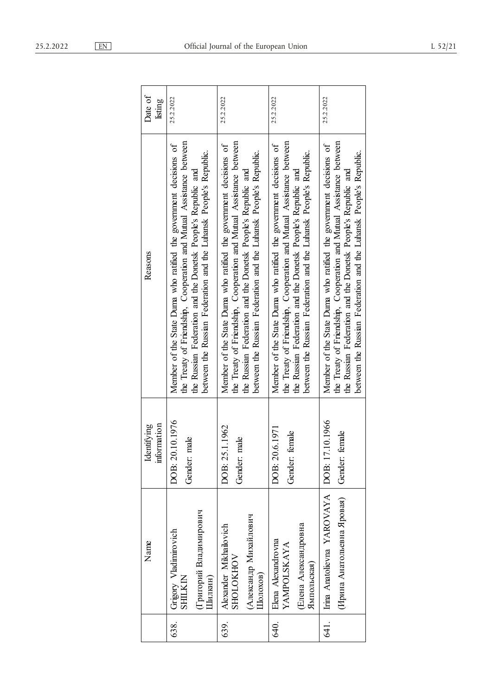| Date of<br>listing         | 25.2.2022                                                                                                                                                                                                                                                                     | 25.2.2022                                                                                                                                                                                                                                                                     | 25.2.2022                                                                                                                                                                                                                                                                     | 25.2.2022                                                                                                                                                                                                                                                                     |
|----------------------------|-------------------------------------------------------------------------------------------------------------------------------------------------------------------------------------------------------------------------------------------------------------------------------|-------------------------------------------------------------------------------------------------------------------------------------------------------------------------------------------------------------------------------------------------------------------------------|-------------------------------------------------------------------------------------------------------------------------------------------------------------------------------------------------------------------------------------------------------------------------------|-------------------------------------------------------------------------------------------------------------------------------------------------------------------------------------------------------------------------------------------------------------------------------|
| Reasons                    | the Treaty of Friendship, Cooperation and Mutual Assistance between<br>Member of the State Duma who ratified the government decisions of<br>between the Russian Federation and the Luhansk People's Republic.<br>the Russian Federation and the Donetsk People's Republic and | the Treaty of Friendship, Cooperation and Mutual Assistance between<br>Member of the State Duma who ratified the government decisions of<br>between the Russian Federation and the Luhansk People's Republic.<br>the Russian Federation and the Donetsk People's Republic and | the Treaty of Friendship, Cooperation and Mutual Assistance between<br>Member of the State Duma who ratified the government decisions of<br>between the Russian Federation and the Luhansk People's Republic.<br>the Russian Federation and the Donetsk People's Republic and | the Treaty of Friendship, Cooperation and Mutual Assistance between<br>Member of the State Duma who ratified the government decisions of<br>between the Russian Federation and the Luhansk People's Republic.<br>the Russian Federation and the Donetsk People's Republic and |
| information<br>Identifying | DOB: 20.10.1976<br>male<br>Gender:                                                                                                                                                                                                                                            | DOB: 25.1.1962<br>male<br>Gender:                                                                                                                                                                                                                                             | DOB: 20.6.1971<br>female<br>Gender:                                                                                                                                                                                                                                           | Gender: female                                                                                                                                                                                                                                                                |
| Name                       | (Григорий Владимирович<br>Grigory Vladimirovich<br>SHILKIN<br>Пилкин)                                                                                                                                                                                                         | (Александр Михайлович<br>Alexander Mikhailovich<br><b>SHOLOKHOV</b><br>Шолохов)                                                                                                                                                                                               | Елена Александровна<br>Elena Alexandrovna<br>YAMPOLSKAYA<br>Ямпольская)                                                                                                                                                                                                       | Irina Anatolievna YAROVAYA   DOB: 17.10.1966<br>(Ирина Анатольевна Яровая)                                                                                                                                                                                                    |
|                            | 638.                                                                                                                                                                                                                                                                          | 639.                                                                                                                                                                                                                                                                          | 640.                                                                                                                                                                                                                                                                          | <u>त्र :</u>                                                                                                                                                                                                                                                                  |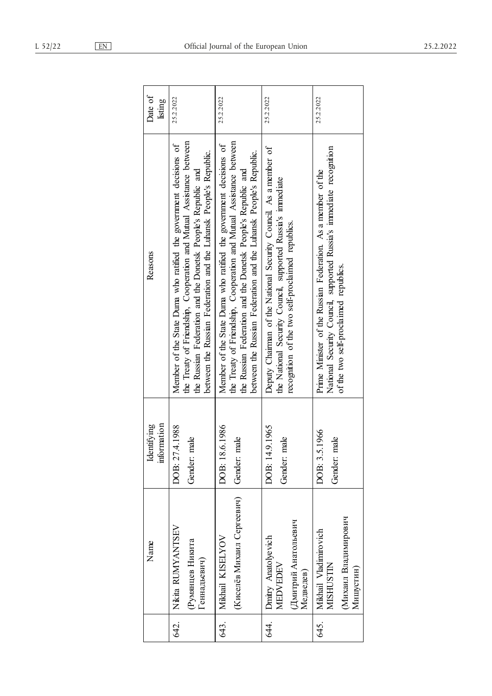|              | Name                                                                    | information<br>Identifying     | Reasons                                                                                                                                                                                                                                                                       | Date of<br>listing |
|--------------|-------------------------------------------------------------------------|--------------------------------|-------------------------------------------------------------------------------------------------------------------------------------------------------------------------------------------------------------------------------------------------------------------------------|--------------------|
| Геннадьевич) | Nikita RUMYANTSEV<br>Румянцев Никита                                    | DOB: 27.4.1988<br>Gender: male | the Treaty of Friendship, Cooperation and Mutual Assistance between<br>Member of the State Duma who ratified the government decisions of<br>between the Russian Federation and the Luhansk People's Republic.<br>the Russian Federation and the Donetsk People's Republic and | 25.2.2022          |
|              | (Киселёв Михаил Сергеевич)<br>Mikhail KISELYOV                          | DOB: 18.6.1986<br>Gender: male | the Treaty of Friendship, Cooperation and Mutual Assistance between<br>Member of the State Duma who ratified the government decisions of<br>between the Russian Federation and the Luhansk People's Republic.<br>the Russian Federation and the Donetsk People's Republic and | 25.2.2022          |
| Медведев)    | Дмитрий Анатольевич<br>Dmitry Anatolyevich<br><b>MEDVEDEV</b>           | DOB: 14.9.1965<br>Gender: male | Deputy Chairman of the National Security Council As a member of<br>the National Security Council, supported Russia's immediate<br>recognition of the two self-proclaimed republics.                                                                                           | 25.2.2022          |
|              | (Михаил Владимирович<br>Mikhail Vladimirovich<br>MISHUSTIN<br>Мишустин) | DOB: 3.5.1966<br>Gender: male  | National Security Council, supported Russia's immediate recognition<br>Prime Minister of the Russian Federation. As a member of the<br>of the two self-proclaimed republics.                                                                                                  | 25.2.2022          |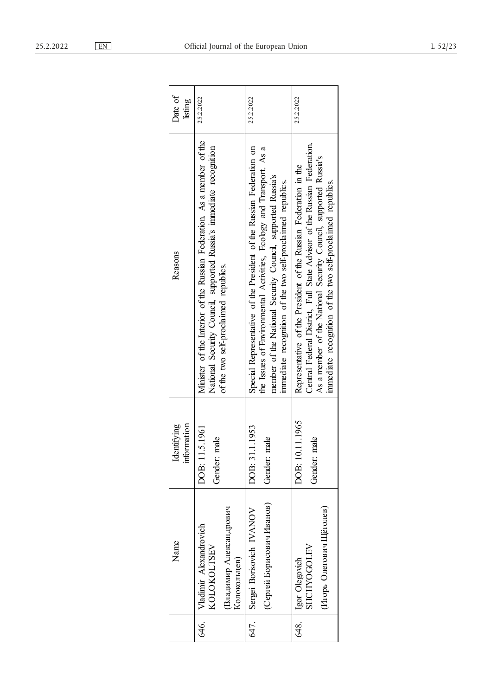| Date of<br>listing            | 25.2.2022                                                                                                                                                                              | 25.2.2022                                                                                                                                                                                                                                                                 | 25.2.2022                                                                                                                                                                                                                                                                      |
|-------------------------------|----------------------------------------------------------------------------------------------------------------------------------------------------------------------------------------|---------------------------------------------------------------------------------------------------------------------------------------------------------------------------------------------------------------------------------------------------------------------------|--------------------------------------------------------------------------------------------------------------------------------------------------------------------------------------------------------------------------------------------------------------------------------|
| Reasons                       | Minister of the Interior of the Russian Federation. As a member of the<br>National Security Council, supported Russia's immediate recognition<br>of the two self-proclaimed republics. | Special Representative of the President of the Russian Federation on<br>the Issues of Environmental Activities, Ecology and Transport. As a<br>member of the National Security Council, supported Russia's<br>immediate recognition of the two self-proclaimed republics. | Central Federal District, Full State Advisor of the Russian Federation.<br>As a member of the National Security Council, supported Russia's<br>Representative of the President of the Russian Federation in the<br>immediate recognition of the two self-proclaimed republics. |
| information<br>entifying<br>Ź | DOB: 11.5.1961<br>Gender: male                                                                                                                                                         | DOB: 31.1.1953<br>Gender: male                                                                                                                                                                                                                                            | DOB: 10.11.1965<br>Gender: male                                                                                                                                                                                                                                                |
| Name                          | Владимир Александрович<br>Vladimir Alexandrovich<br>KOLOKOLTSEV<br>Колокольцев)                                                                                                        | (Сергей Борисович Иванов)<br>Sergei Borisovich IVANOV                                                                                                                                                                                                                     | (Игорь Олегович Щёголев)<br><b>SHCHYOGOLEV</b><br>Igor Olegovich                                                                                                                                                                                                               |
|                               | 646.                                                                                                                                                                                   | 647.                                                                                                                                                                                                                                                                      | 648.                                                                                                                                                                                                                                                                           |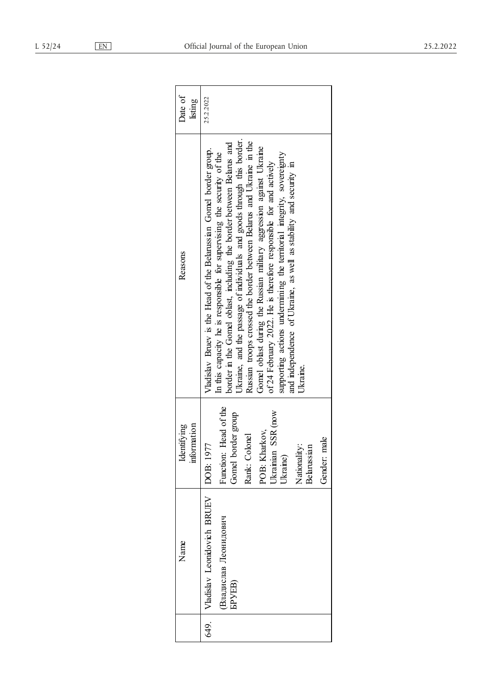| Date of<br>listing         | 25.2.2022                                                                                                                                                                                                                                                                                                                                                                                                                                                                                                                                                                                                                                                                    |
|----------------------------|------------------------------------------------------------------------------------------------------------------------------------------------------------------------------------------------------------------------------------------------------------------------------------------------------------------------------------------------------------------------------------------------------------------------------------------------------------------------------------------------------------------------------------------------------------------------------------------------------------------------------------------------------------------------------|
| Reasons                    | Ukraine, and the passage of individuals and goods through this border.<br>Russian troops crossed the border between Belarus and Ukraine in the<br>border in the Gomel oblast, including the border between Belarus and<br>Gomel oblast during the Russian military aggression against Ukraine<br>Vladislav Bruev is the Head of the Belarussian Gomel border group.<br>In this capacity he is responsible for supervising the security of the<br>supporting actions undermining the territorial integrity, sovereignty<br>of 24 February 2022. He is therefore responsible for and actively<br>and independence of Ukraine, as well as stability and security in<br>Ukraine. |
| information<br>Identifying | Function: Head of the<br>Ukrainian SSR (now<br>oorder group<br>POB: Kharkov,<br>Rank: Colonel<br>male<br>DOB: 1977<br>Nationality:<br>Belarussian<br>Jkraine)<br>Gender:<br>Gomel ł                                                                                                                                                                                                                                                                                                                                                                                                                                                                                          |
| Name                       | Vladislav Leonidovich BRUEV<br>Владислав Леонидович<br><b>GEVEB</b>                                                                                                                                                                                                                                                                                                                                                                                                                                                                                                                                                                                                          |
|                            | 649.                                                                                                                                                                                                                                                                                                                                                                                                                                                                                                                                                                                                                                                                         |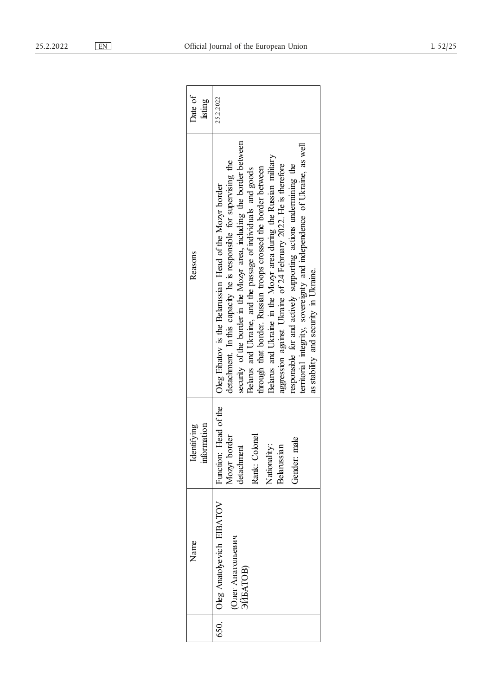| Date of<br>listing         | 25.2.2022                                                                                                                                                                                                                                                                                                                                                                                                                                                                                                                                                                                                                                                                  |
|----------------------------|----------------------------------------------------------------------------------------------------------------------------------------------------------------------------------------------------------------------------------------------------------------------------------------------------------------------------------------------------------------------------------------------------------------------------------------------------------------------------------------------------------------------------------------------------------------------------------------------------------------------------------------------------------------------------|
| Reasons                    | security of the border in the Mozyr area, including the border between<br>territorial integrity, sovereignty and independence of Ukraine, as well<br>Belarus and Ukraine in the Mozyr area during the Russian military<br>detachment. In this capacity he is responsible for supervising the<br>aggression against Ukraine of 24 February 2022. He is therefore<br>responsible for and actively supporting actions undermining the<br>through that border. Russian troops crossed the border between<br>Belarus and Ukraine, and the passage of individuals and goods<br>Oleg Eibatov is the Belarussian Head of the Mozyr border<br>as stability and security in Ukraine. |
| information<br>Identifying | Function: Head of the<br>Mozyr border<br>Rank: Colonel<br>male<br>Nationality:<br>Belarussian<br>detachment<br>Gender:                                                                                                                                                                                                                                                                                                                                                                                                                                                                                                                                                     |
| Name                       | Oleg Anatolyevich EIBATOV<br>Олег Анатольевич<br>ЭЙБАТОВ)                                                                                                                                                                                                                                                                                                                                                                                                                                                                                                                                                                                                                  |
|                            | 650.                                                                                                                                                                                                                                                                                                                                                                                                                                                                                                                                                                                                                                                                       |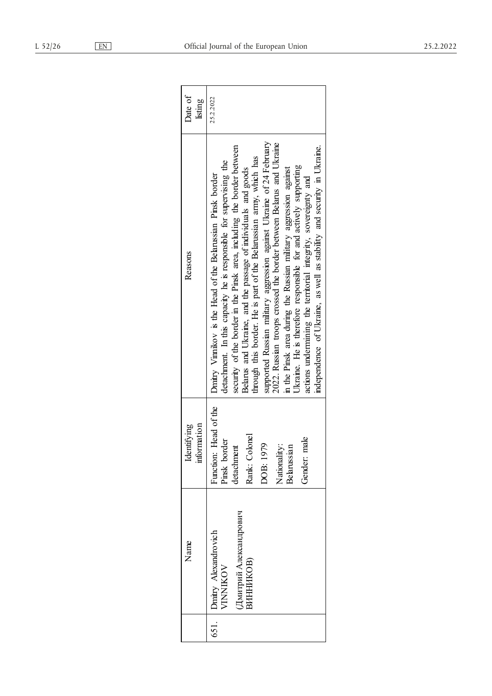| Date of<br>listing         | 25.2.2022                                                                                                                                                                                                                                                                                                                                                                                                                                                                                                                                                                                                                                                                                                                                                                             |
|----------------------------|---------------------------------------------------------------------------------------------------------------------------------------------------------------------------------------------------------------------------------------------------------------------------------------------------------------------------------------------------------------------------------------------------------------------------------------------------------------------------------------------------------------------------------------------------------------------------------------------------------------------------------------------------------------------------------------------------------------------------------------------------------------------------------------|
| Reasons                    | supported Russian military aggression against Ukraine of 24 February<br>2022. Russian troops crossed the border between Belarus and Ukraine<br>security of the border in the Pinsk area, including the border between<br>independence of Ukraine, as well as stability and security in Ukraine.<br>through this border. He is part of the Belarussian army, which has<br>detachment. In this capacity he is responsible for supervising the<br>Ukraine. He is therefore responsible for and actively supporting<br>in the Pinsk area during the Russian military aggression against<br>Belarus and Ukraine, and the passage of individuals and goods<br>Dmitry Vinnikov is the Head of the Belarussian Pinsk border<br>actions undermining the territorial integrity, sovereignty and |
| information<br>Identifying | Function: Head of the<br>Rank: Colonel<br>Gender: male<br>Pinsk border<br>DOB: 1979<br>Nationality:<br>Belarussian<br>detachment                                                                                                                                                                                                                                                                                                                                                                                                                                                                                                                                                                                                                                                      |
| Name                       | Дмитрий Александрович<br>Dmitry Alexandrovich<br>ВИННИКОВ)<br><b>/INNIKOV</b>                                                                                                                                                                                                                                                                                                                                                                                                                                                                                                                                                                                                                                                                                                         |
|                            | 651.                                                                                                                                                                                                                                                                                                                                                                                                                                                                                                                                                                                                                                                                                                                                                                                  |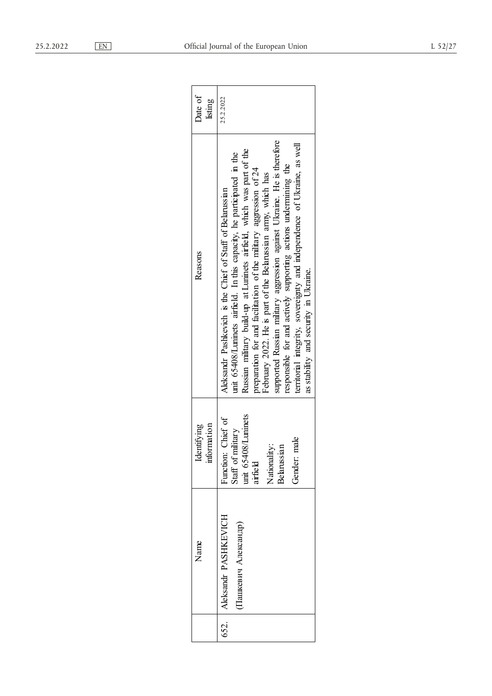| Date of<br>listing         | 25.2.2022                                                                                                                                                                                                                                                                                                                                                                                                                                                                                                                                                                                                          |
|----------------------------|--------------------------------------------------------------------------------------------------------------------------------------------------------------------------------------------------------------------------------------------------------------------------------------------------------------------------------------------------------------------------------------------------------------------------------------------------------------------------------------------------------------------------------------------------------------------------------------------------------------------|
| Reasons                    | supported Russian military aggression against Ukraine. He is therefore<br>territorial integrity, sovereignty and independence of Ukraine, as well<br>Russian military build-up at Luninets airfield, which was part of the<br>unit 65408/Luninets airfield. In this capacity, he participated in the<br>responsible for and actively supporting actions undermining the<br>preparation for and facilitation of the military aggression of 24<br>February 2022. He is part of the Belarussian army, which has<br>Aleksandr Pashkevich is the Chief of Staff of Belarussian<br>as stability and security in Ukraine. |
| information<br>Identifying | unit 65408/Luninets<br>airfield<br>Function: Chief of<br>Staff of military<br>male<br>Nationality:<br>Belarussian<br>Gender:                                                                                                                                                                                                                                                                                                                                                                                                                                                                                       |
| Name                       | 652.   Aleksandr PASHKEVICH<br>Пашкевич Александр)                                                                                                                                                                                                                                                                                                                                                                                                                                                                                                                                                                 |
|                            |                                                                                                                                                                                                                                                                                                                                                                                                                                                                                                                                                                                                                    |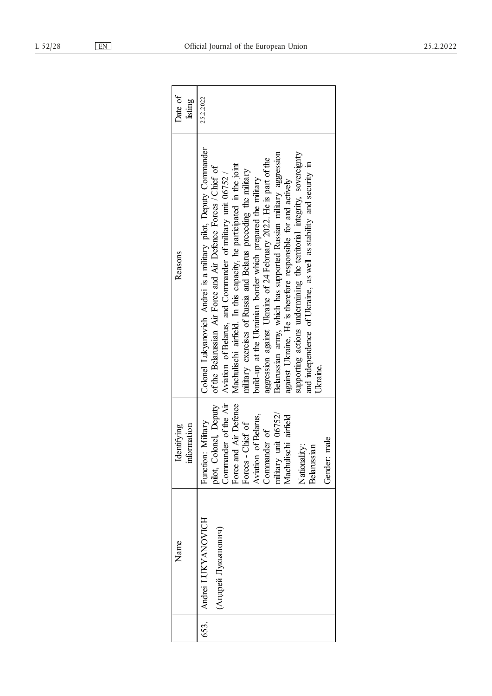| Date of<br>listing         | 25.2.2022                                                                                                                                                                                                                                                                                                                                                                                                                                                                                                                                                                                                                                                                                                                                                                        |
|----------------------------|----------------------------------------------------------------------------------------------------------------------------------------------------------------------------------------------------------------------------------------------------------------------------------------------------------------------------------------------------------------------------------------------------------------------------------------------------------------------------------------------------------------------------------------------------------------------------------------------------------------------------------------------------------------------------------------------------------------------------------------------------------------------------------|
| Reasons                    | Colonel Lukyanovich Andrei is a military pilot, Deputy Commander<br>supporting actions undermining the territorial integrity, sovereignty<br>Belarussian army, which has supported Russian military aggression<br>aggression against Ukraine of 24 February 2022. He is part of the<br>and independence of Ukraine, as well as stability and security in<br>Machulischi airfield. In this capacity, he participated in the joint<br>of the Belarussian Air Force and Air Defence Forces / Chief of<br>military exercises of Russia and Belarus preceding the military<br>Aviation of Belarus, and Commander of military unit 06752/<br>build-up at the Ukrainian border which prepared the military<br>against Ukraine. He is therefore responsible for and actively<br>Ukraine. |
| information<br>Identifying | pilot, Colonel, Deputy<br>Commander of the Air<br>Force and Air Defence<br>military unit 06752/<br>Machulischi airfield<br>of Belarus,<br>Function: Military<br>Forces - Chief of<br>Commander of<br>male<br>Nationality:<br>ug.<br>Aviation<br>Belaruss<br>Gender:                                                                                                                                                                                                                                                                                                                                                                                                                                                                                                              |
| Name                       | Andrei LUKYANOVICH<br>(Андрей Лукьянович)                                                                                                                                                                                                                                                                                                                                                                                                                                                                                                                                                                                                                                                                                                                                        |
|                            | 653.                                                                                                                                                                                                                                                                                                                                                                                                                                                                                                                                                                                                                                                                                                                                                                             |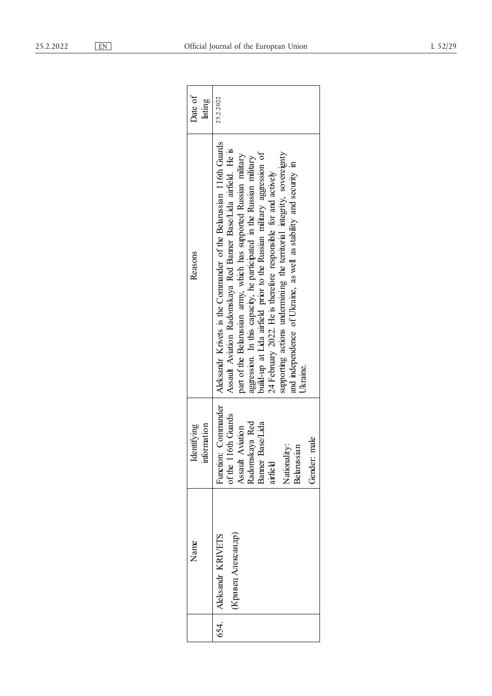| Date of<br>listing         | 25.2.2022                                                                                                                                                                                                                                                                                                                                                                                                                                                                                                                                                                                  |
|----------------------------|--------------------------------------------------------------------------------------------------------------------------------------------------------------------------------------------------------------------------------------------------------------------------------------------------------------------------------------------------------------------------------------------------------------------------------------------------------------------------------------------------------------------------------------------------------------------------------------------|
| Reasons                    | Aleksandr Krivets is the Commander of the Belarussian 116th Guards<br>Assault Aviation Radomskaya Red Banner Base/Lida airfield. He is<br>build-up at Lida airfield prior to the Russian military aggression of<br>supporting actions undermining the territorial integrity, sovereignty<br>part of the Belarussian army, which has supported Russian military<br>aggression. In this capacity, he participated in the Russian military<br>and independence of Ukraine, as well as stability and security in<br>24 February 2022. He is therefore responsible for and actively<br>Ukraine. |
| information<br>Identifying | Junction: Commander<br>of the 116th Guards<br>Radomskaya Red<br>Banner Base/Lida<br>Assault Aviation<br>male<br>Vationality:<br>Belarussian<br>Gender:<br>airfield                                                                                                                                                                                                                                                                                                                                                                                                                         |
| Name                       | (Кривец Александр)<br>Aleksandr KRIVETS                                                                                                                                                                                                                                                                                                                                                                                                                                                                                                                                                    |
|                            | 654.                                                                                                                                                                                                                                                                                                                                                                                                                                                                                                                                                                                       |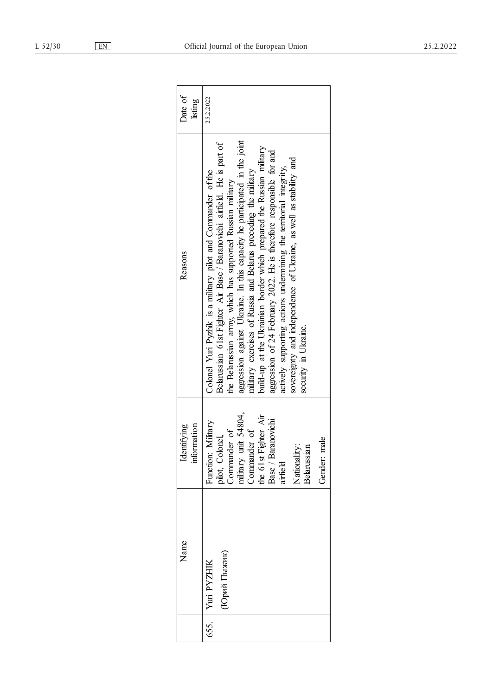| Date of<br>listing         | 25.2.2022                                                                                                                                                                                                                                                                                                                                                                                                                                                                                                                                                                                                                                                               |
|----------------------------|-------------------------------------------------------------------------------------------------------------------------------------------------------------------------------------------------------------------------------------------------------------------------------------------------------------------------------------------------------------------------------------------------------------------------------------------------------------------------------------------------------------------------------------------------------------------------------------------------------------------------------------------------------------------------|
| Reasons                    | aggression against Ukraine. In this capacity he participated in the joint<br>Belarussian 61st Fighter Air Base / Baranovichi airfield. He is part of<br>build-up at the Ukrainian border which prepared the Russian military<br>aggression of 24 February 2022. He is therefore responsible for and<br>sovereignty and independence of Ukraine, as well as stability and<br>actively supporting actions undermining the territorial integrity,<br>military exercises of Russia and Belarus preceding the military<br>Colonel Yuri Pyzhik is a military pilot and Commander of the<br>the Belarussian army, which has supported Russian military<br>security in Ukraine. |
| information<br>Identifying | pilot, Colonel,<br>Commander of<br>military unit 54804,<br>the 61st Fighter Air<br>Base / Baranovichi<br>Function: Military<br>Commander of<br>male<br>Nationality:<br>ian<br>airfield<br><b>Belaruss</b><br>Gender:                                                                                                                                                                                                                                                                                                                                                                                                                                                    |
| Name                       | (Юрий Пыжик)<br>Yuri PYZHIK                                                                                                                                                                                                                                                                                                                                                                                                                                                                                                                                                                                                                                             |
|                            | 655.                                                                                                                                                                                                                                                                                                                                                                                                                                                                                                                                                                                                                                                                    |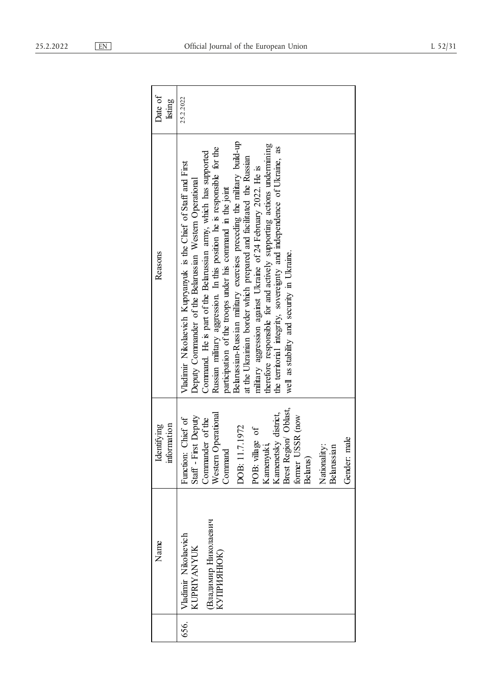|      | Name                                                                            | information<br>Identifying                                                                                                                                                                                                                                                       | Reasons                                                                                                                                                                                                                                                                                                                                                                                                                                                                                                                                                                                                                                                                                                                                                    | Date of<br>listing |
|------|---------------------------------------------------------------------------------|----------------------------------------------------------------------------------------------------------------------------------------------------------------------------------------------------------------------------------------------------------------------------------|------------------------------------------------------------------------------------------------------------------------------------------------------------------------------------------------------------------------------------------------------------------------------------------------------------------------------------------------------------------------------------------------------------------------------------------------------------------------------------------------------------------------------------------------------------------------------------------------------------------------------------------------------------------------------------------------------------------------------------------------------------|--------------------|
| 656. | Владимир Николаевич<br>Vladimir Nikolaevich<br><b>KUPRIYANYUK</b><br>КУПРИЯНЮК) | Brest Region Oblast,<br>Western Operational<br>Kamenetsky district,<br>former USSR (now<br>Staff-First Deputy<br>Function: Chief of<br>Commander of the<br>DOB: 11.7.1972<br>POB: village of<br>Gender: male<br>Kamenyuki,<br>Nationality:<br>Belarussian<br>Command<br>Belarus) | Belarussian-Russian military exercises preceding the military build-up<br>therefore responsible for and actively supporting actions undermining<br>the territorial integrity, sovereignty and independence of Ukraine, as<br>Russian military aggression. In this position he is responsible for the<br>Command. He is part of the Belarussian army, which has supported<br>at the Ukrainian border which prepared and facilitated the Russian<br>Vladimir Nikolaevich Kupryanyuk is the Chief of Staff and First<br>military aggression against Ukraine of 24 February 2022. He is<br>Deputy Commander of the Belarussian Western Operational<br>participation of the troops under his command in the joint<br>well as stability and security in Ukraine. | 25.2.2022          |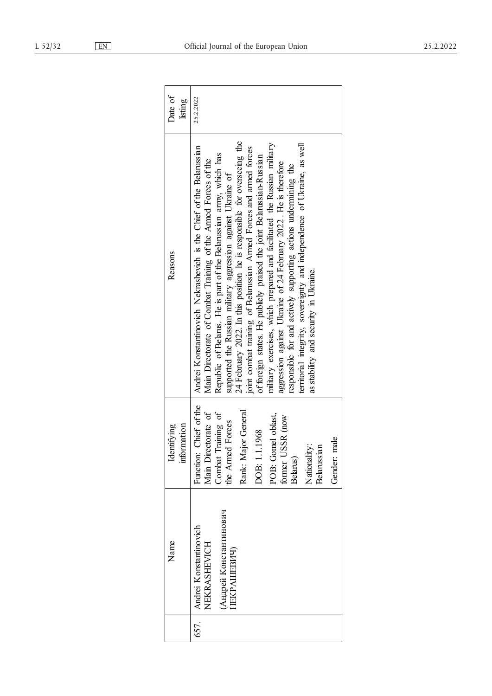| Date of<br>listing         | 25.2.2022                                                                                                                                                                                                                                                                                                                                                                                                                                                                                                                                                                                                                                                                                                                                                                                                                                 |
|----------------------------|-------------------------------------------------------------------------------------------------------------------------------------------------------------------------------------------------------------------------------------------------------------------------------------------------------------------------------------------------------------------------------------------------------------------------------------------------------------------------------------------------------------------------------------------------------------------------------------------------------------------------------------------------------------------------------------------------------------------------------------------------------------------------------------------------------------------------------------------|
| Reasons                    | 24 February 2022. In this position he is responsible for overseeing the<br>military exercises, which prepared and facilitated the Russian military<br>territorial integrity, sovereignty and independence of Ukraine, as well<br>Andrei Konstantinovich Nekrashevich is the Chief of the Belarussian<br>joint combat training of Belarussian Armed Forces and armed forces<br>Republic of Belarus. He is part of the Belarussian army, which has<br>of foreign states. He publicly praised the joint Belarussian-Russian<br>Main Directorate of Combat Training of the Armed Forces of the<br>aggression against Ukraine of 24 February 2022. He is therefore<br>responsible for and actively supporting actions undermining the<br>supported the Russian military aggression against Ukraine of<br>as stability and security in Ukraine. |
| information<br>Identifying | Function: Chief of the<br>Rank: Major General<br>Main Directorate of<br>Combat Training of<br>POB: Gomel oblast,<br>USSR (now<br>the Armed Forces<br>DOB: 1.1.1968<br>Gender: male<br>Nationality:<br>ian<br>Belarus)<br><b>Belaruss</b><br>former <sup>1</sup>                                                                                                                                                                                                                                                                                                                                                                                                                                                                                                                                                                           |
| Name                       | (Андрей Константинович<br>Andrei Konstantinovich<br>NEKRASHEVICH<br>НЕКРАШЕВИЧ)                                                                                                                                                                                                                                                                                                                                                                                                                                                                                                                                                                                                                                                                                                                                                           |
|                            | 657.                                                                                                                                                                                                                                                                                                                                                                                                                                                                                                                                                                                                                                                                                                                                                                                                                                      |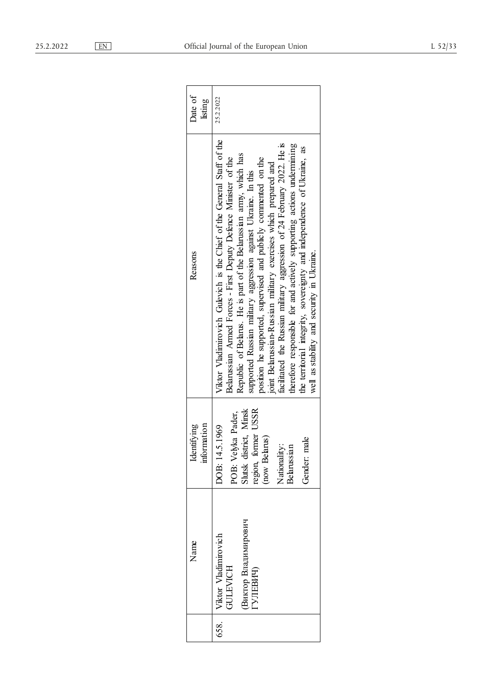| Date of<br>listing         | 25.2.2022                                                                                                                                                                                                                                                                                                                                                                                                                                                                                                                                                                                                                                                                                          |
|----------------------------|----------------------------------------------------------------------------------------------------------------------------------------------------------------------------------------------------------------------------------------------------------------------------------------------------------------------------------------------------------------------------------------------------------------------------------------------------------------------------------------------------------------------------------------------------------------------------------------------------------------------------------------------------------------------------------------------------|
| Reasons                    | Viktor Vladimirovich Gulevich is the Chief of the General Staff of the<br>facilitated the Russian military aggression of 24 February 2022. He is<br>therefore responsible for and actively supporting actions undermining<br>the territorial integrity, sovereignty and independence of Ukraine, as<br>Republic of Belarus. He is part of the Belarussian army, which has<br>Belarussian Armed Forces - First Deputy Defence Minister of the<br>position he supported, supervised and publicly commented on the<br>joint Belarussian-Russian military exercises which prepared and<br>supported Russian military aggression against Ukraine. In this<br>well as stability and security in Ukraine. |
| information<br>Identifying | POB: Velyka Pader,<br>Slutsk district, Minsk<br>region, former USSR<br>(now Belarus)<br>DOB: 14.5.1969<br>Gender: male<br>Nationality:<br>Belarussian                                                                                                                                                                                                                                                                                                                                                                                                                                                                                                                                              |
| Name                       | Виктор Владимирович<br>  Viktor Vladimirovich<br>GULEVICH<br>ГУЛЕВИЧ)                                                                                                                                                                                                                                                                                                                                                                                                                                                                                                                                                                                                                              |
|                            | 658.                                                                                                                                                                                                                                                                                                                                                                                                                                                                                                                                                                                                                                                                                               |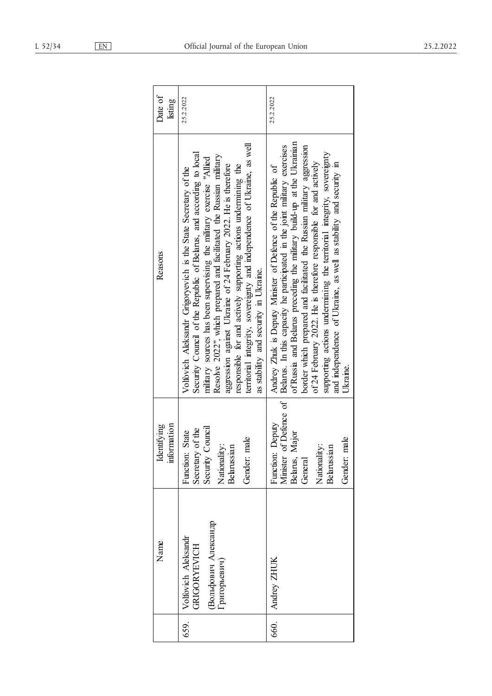| Date of<br>listing         | 25.2.2022                                                                                                                                                                                                                                                                                                                                                                                                                                                                                                                                    | 25.2.2022                                                                                                                                                                                                                                                                                                                                                                                                                                                                                                                                  |
|----------------------------|----------------------------------------------------------------------------------------------------------------------------------------------------------------------------------------------------------------------------------------------------------------------------------------------------------------------------------------------------------------------------------------------------------------------------------------------------------------------------------------------------------------------------------------------|--------------------------------------------------------------------------------------------------------------------------------------------------------------------------------------------------------------------------------------------------------------------------------------------------------------------------------------------------------------------------------------------------------------------------------------------------------------------------------------------------------------------------------------------|
| Reasons                    | territorial integrity, sovereignty and independence of Ukraine, as well<br>Security Council of the Republic of Belarus, and according to local<br>Resolve 2022", which prepared and facilitated the Russian military<br>military sources has been supervising the military exercise "Allied<br>aggression against Ukraine of 24 February 2022. He is therefore<br>responsible for and actively supporting actions undermining the<br>Volfovich Aleksandr Grigoryevich is the State Secretary of the<br>as stability and security in Ukraine. | of Russia and Belarus preceding the military build-up at the Ukrainian<br>of Defence of   Belarus. In this capacity he participated in the joint military exercises<br>border which prepared and facilitated the Russian military aggression<br>supporting actions undermining the territorial integrity, sovereignty<br>of 24 February 2022. He is therefore responsible for and actively<br>and independence of Ukraine, as well as stability and security in<br>Andrey Zhuk is Deputy Minister of Defence of the Republic of<br>Ukrame. |
| information<br>Identifying | Security Council<br>Secretary of the<br>Function: State<br>male<br>Nationality:<br>mai<br>Gender:<br><b>Belaruss</b>                                                                                                                                                                                                                                                                                                                                                                                                                         | Function: Deputy<br>Major<br>male<br>Nationality:<br>$\sin$<br>Gender:<br>Minister<br>Belarus,<br>General<br><b>Belaruss</b>                                                                                                                                                                                                                                                                                                                                                                                                               |
| Nanne                      | Вольфович Александр<br>Volfovich Aleksandr<br><b>GRIGORYEVICH</b><br>Григорьевич)                                                                                                                                                                                                                                                                                                                                                                                                                                                            | Andrey ZHUK                                                                                                                                                                                                                                                                                                                                                                                                                                                                                                                                |
|                            | 659.                                                                                                                                                                                                                                                                                                                                                                                                                                                                                                                                         | 660.                                                                                                                                                                                                                                                                                                                                                                                                                                                                                                                                       |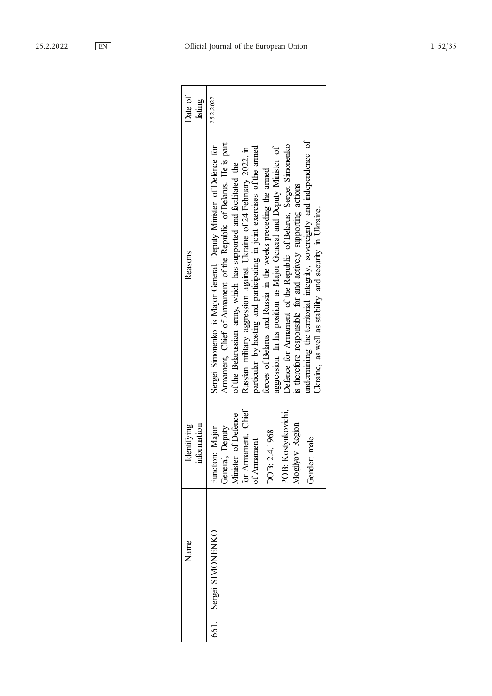| Date of<br>listing         | 25.2.2022                                                                                                                                                                                                                                                                                                                                                                                                                                                                                                                                                                                                                                                                                                                                                                      |
|----------------------------|--------------------------------------------------------------------------------------------------------------------------------------------------------------------------------------------------------------------------------------------------------------------------------------------------------------------------------------------------------------------------------------------------------------------------------------------------------------------------------------------------------------------------------------------------------------------------------------------------------------------------------------------------------------------------------------------------------------------------------------------------------------------------------|
| Reasons                    | undermining the territorial integrity, sovereignty and independence of<br>Armament, Chief of Armament of the Republic of Belarus. He is part<br>Defence for Armament of the Republic of Belarus, Sergei Simonenko<br>Sergei Simonenko is Major General, Deputy Minister of Defence for<br>particular by hosting and participating in joint exercises of the armed<br>aggression. In his position as Major General and Deputy Minister of<br>Russian military aggression against Ukraine of 24 February 2022, in<br>of the Belarussian army, which has supported and facilitated the<br>forces of Belarus and Russia in the weeks preceding the armed<br>is therefore responsible for and actively supporting actions<br>Ukraine, as well as stability and security in Ukraine. |
| information<br>Identifying | for Armament, Chief<br>POB: Kostyukovichi,<br>of Defence<br>Mogilyov Region<br>Deputy<br>Function: Major<br>.4.1968<br>male<br>of Armament<br>General,<br>Minister<br>DOB: 2.<br>Gender:                                                                                                                                                                                                                                                                                                                                                                                                                                                                                                                                                                                       |
| Name                       | Sergei SIMONENKO                                                                                                                                                                                                                                                                                                                                                                                                                                                                                                                                                                                                                                                                                                                                                               |
|                            | 661.                                                                                                                                                                                                                                                                                                                                                                                                                                                                                                                                                                                                                                                                                                                                                                           |

| Date of<br>listing        | 25.2.2022                                                                                                                                                                                                                                                                                                                                                                                                                                                                                                                                                                                                                                                                                                                                                                      |
|---------------------------|--------------------------------------------------------------------------------------------------------------------------------------------------------------------------------------------------------------------------------------------------------------------------------------------------------------------------------------------------------------------------------------------------------------------------------------------------------------------------------------------------------------------------------------------------------------------------------------------------------------------------------------------------------------------------------------------------------------------------------------------------------------------------------|
| Reasons                   | undermining the territorial integrity, sovereignty and independence of<br>Armament, Chief of Armament of the Republic of Belarus. He is part<br>Defence for Armament of the Republic of Belarus, Sergei Simonenko<br>Sergei Simonenko is Major General, Deputy Minister of Defence for<br>particular by hosting and participating in joint exercises of the armed<br>aggression. In his position as Major General and Deputy Minister of<br>Russian military aggression against Ukraine of 24 February 2022, in<br>of the Belarussian army, which has supported and facilitated the<br>forces of Belarus and Russia in the weeks preceding the armed<br>is therefore responsible for and actively supporting actions<br>Ukraine, as well as stability and security in Ukraine. |
| nformation<br>Identifying | for Armament, Chief<br>Kostyukovichi,<br>Minister of Defence<br>Mogilyov Region<br>General, Deputy<br>Function: Major<br><b>DOB: 2.4.1968</b><br>Gender: male<br>of Armament<br>POB: I                                                                                                                                                                                                                                                                                                                                                                                                                                                                                                                                                                                         |
| Name                      | Sergei SIMONENKO                                                                                                                                                                                                                                                                                                                                                                                                                                                                                                                                                                                                                                                                                                                                                               |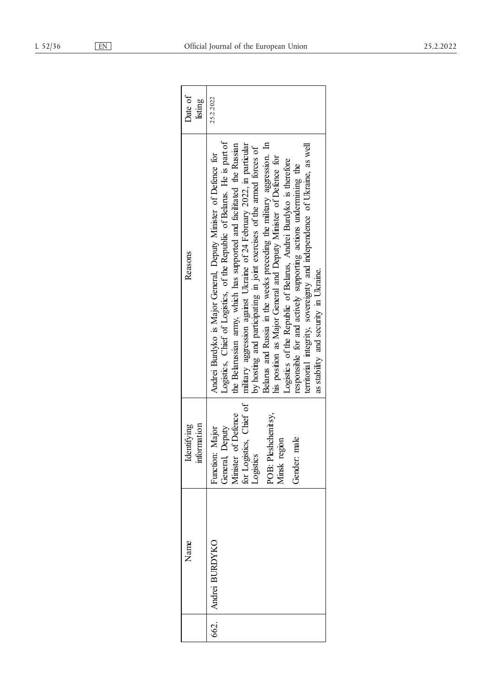| Date of<br>listing         | 25.2.2022                                                                                                                                                                                                                                                                                                                                                                                                                                                                                                                                                                                                                                                                                                                                                                        |
|----------------------------|----------------------------------------------------------------------------------------------------------------------------------------------------------------------------------------------------------------------------------------------------------------------------------------------------------------------------------------------------------------------------------------------------------------------------------------------------------------------------------------------------------------------------------------------------------------------------------------------------------------------------------------------------------------------------------------------------------------------------------------------------------------------------------|
| Reasons                    | Logistics, Chief of Logistics, of the Republic of Belarus. He is part of<br>Belarus and Russia in the weeks preceding the military aggression. In<br>military aggression against Ukraine of 24 February 2022, in particular<br>the Belarussian army, which has supported and facilitated the Russian<br>territorial integrity, sovereignty and independence of Ukraine, as well<br>by hosting and participating in joint exercises of the armed forces of<br>Andrei Burdyko is Major General, Deputy Minister of Defence for<br>his position as Major General and Deputy Minister of Defence for<br>Logistics of the Republic of Belarus, Andrei Burdyko is therefore<br>responsible for and actively supporting actions undermining the<br>as stability and security in Heraine |
| information<br>Identifying | for Logistics, Chief of Logistics<br>General, Deputy<br>Vinister of Defence<br>POB: Pleshchenitsy,<br>Minsk region<br>Function: Major<br>Gender: male                                                                                                                                                                                                                                                                                                                                                                                                                                                                                                                                                                                                                            |
| Name                       | drei BURDYKO                                                                                                                                                                                                                                                                                                                                                                                                                                                                                                                                                                                                                                                                                                                                                                     |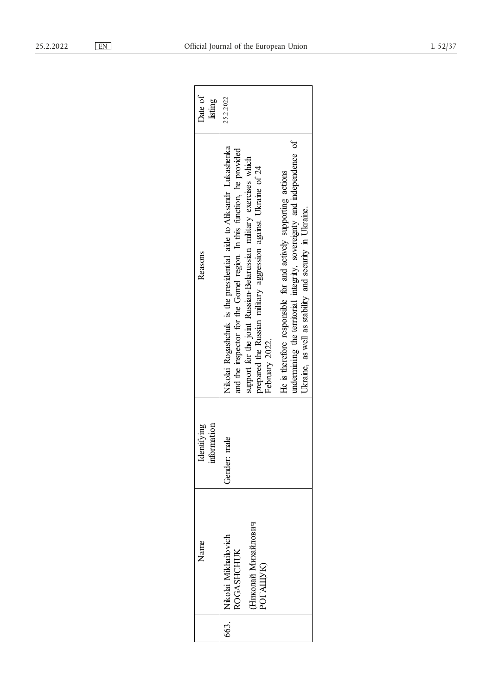| Date of<br>listing         | 25.2.2022                                                                                                                                                                                                                                                                                                                                                                                                                                                                                                     |
|----------------------------|---------------------------------------------------------------------------------------------------------------------------------------------------------------------------------------------------------------------------------------------------------------------------------------------------------------------------------------------------------------------------------------------------------------------------------------------------------------------------------------------------------------|
| Reasons                    | undermining the territorial integrity, sovereignty and independence of<br>Nikolai Rogashchuk is the presidential aide to Aliksandr Lukashenka<br>and the inspector for the Gomel region. In this function, he provided<br>support for the joint Russian-Belarussian military exercises which<br>prepared the Russian military aggression against Ukraine of 24<br>He is therefore responsible for and actively supporting actions<br>Ukraine, as well as stability and security in Ukraine.<br>February 2022. |
| information<br>Identifying | nale<br>Gender: n                                                                                                                                                                                                                                                                                                                                                                                                                                                                                             |
| Name                       | Николай Михайлович<br>663.   Nikolai Mikhailovich<br><b>ROGASHCHUK</b><br>POTAIIVK)                                                                                                                                                                                                                                                                                                                                                                                                                           |
|                            |                                                                                                                                                                                                                                                                                                                                                                                                                                                                                                               |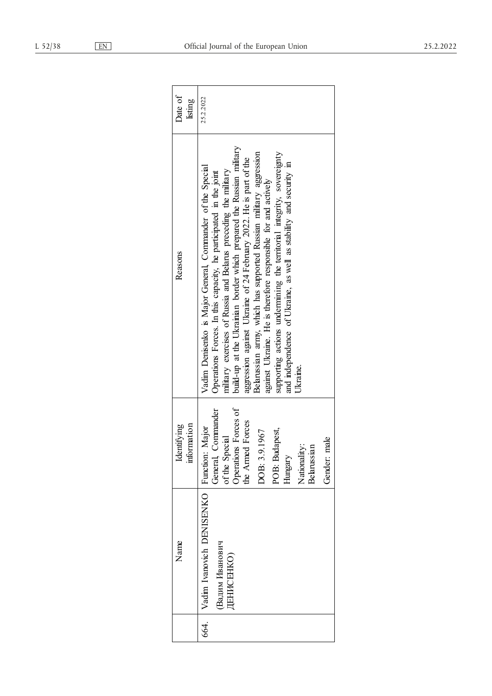| Date of<br>listing         | 25.2.2022                                                                                                                                                                                                                                                                                                                                                                                                                                                                                                                                                                                                                                       |
|----------------------------|-------------------------------------------------------------------------------------------------------------------------------------------------------------------------------------------------------------------------------------------------------------------------------------------------------------------------------------------------------------------------------------------------------------------------------------------------------------------------------------------------------------------------------------------------------------------------------------------------------------------------------------------------|
| Reasons                    | build-up at the Ukrainian border which prepared the Russian military<br>Belarussian army, which has supported Russian military aggression<br>supporting actions undermining the territorial integrity, sovereignty<br>aggression against Ukraine of 24 February 2022. He is part of the<br>and independence of Ukraine, as well as stability and security in<br>Vadim Denisenko is Major General, Commander of the Special<br>military exercises of Russia and Belarus preceding the military<br>Operations Forces. In this capacity, he participated in the joint<br>against Ukraine. He is therefore responsible for and actively<br>Ukraine. |
| information<br>Identifying | Operations Forces of<br>General, Commander<br>the Armed Forces<br>POB: Budapest,<br>9.1967<br>of the Special<br>male<br>Nationality:<br>Belarussian<br>DOB: 3.<br>Hungary<br>Gender:                                                                                                                                                                                                                                                                                                                                                                                                                                                            |
| Name                       | Vadim Ivanovich DENISENKO Function: Major<br>Вадим Иванович<br>ДЕНИСЕНКО)                                                                                                                                                                                                                                                                                                                                                                                                                                                                                                                                                                       |
|                            | 664.                                                                                                                                                                                                                                                                                                                                                                                                                                                                                                                                                                                                                                            |

| Date of<br>listing         | 25.2.2022                                                                                                                                                                                                                                                                                                                                                                                                                                                                                                                                                                                                                                      |
|----------------------------|------------------------------------------------------------------------------------------------------------------------------------------------------------------------------------------------------------------------------------------------------------------------------------------------------------------------------------------------------------------------------------------------------------------------------------------------------------------------------------------------------------------------------------------------------------------------------------------------------------------------------------------------|
| Reasons                    | build-up at the Ukrainian border which prepared the Russian military<br>Belarussian army, which has supported Russian military aggression<br>supporting actions undermining the territorial integrity, sovereignty<br>aggression against Ukraine of 24 February 2022. He is part of the<br>and independence of Ukraine, as well as stability and security in<br>Vadim Denisenko is Major General, Commander of the Special<br>military exercises of Russia and Belarus preceding the military<br>Operations Forces. In this capacity, he participated in the joint<br>against Ukraine. He is therefore responsible for and actively<br>Ukrame. |
| information<br>Identifying | Operations Forces of<br>General, Commander<br>the Armed Forces<br>POB: Budapest,<br>3.9.1967<br>of the Special<br>Gender: male<br>Nationality:<br>Belarussian<br>Hungary<br>DOB:                                                                                                                                                                                                                                                                                                                                                                                                                                                               |
| Name                       | Vadim Ivanovich DENISENKO   Function: Major<br>Вадим Иванович<br><b>IEHMCEHKO</b> )                                                                                                                                                                                                                                                                                                                                                                                                                                                                                                                                                            |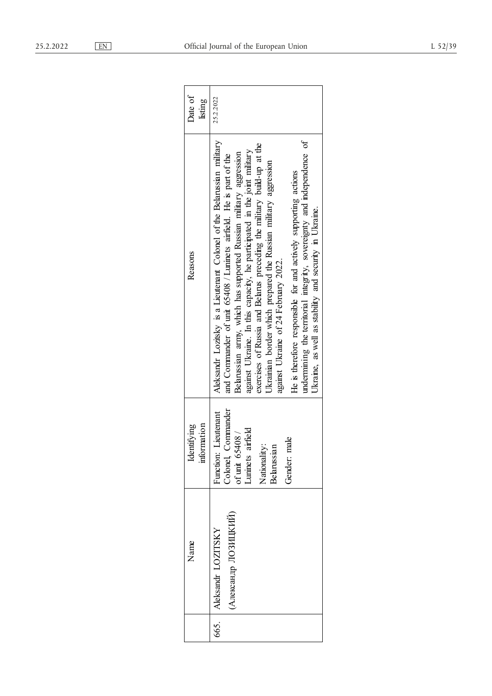| Date of<br>listing         | 25.2.2022                                                                                                                                                                                                                                                                                                                                                                                                                                                                                                                                                                                                                                                                                 |
|----------------------------|-------------------------------------------------------------------------------------------------------------------------------------------------------------------------------------------------------------------------------------------------------------------------------------------------------------------------------------------------------------------------------------------------------------------------------------------------------------------------------------------------------------------------------------------------------------------------------------------------------------------------------------------------------------------------------------------|
| Reasons                    | Aleksandr Lozitsky is a Lieutenant Colonel of the Belarussian military<br>undermining the territorial integrity, sovereignty and independence of<br>exercises of Russia and Belarus preceding the military build-up at the<br>against Ukraine. In this capacity, he participated in the joint military<br>Belarussian army, which has supported Russian military aggression<br>and Commander of unit 65408 / Luninets airfield. He is part of the<br>Ukrainian border which prepared the Russian military aggression<br>He is therefore responsible for and actively supporting actions<br>Ukraine, as well as stability and security in Ukraine.<br>against Ukraine of 24 February 2022. |
| information<br>Identifying | Colonel, Commander<br>Function: Lieutenant<br>airfield<br>55408/<br>male<br>Nationality:<br>Belarussian<br>of unit 6:<br>Luninets<br>Gender:                                                                                                                                                                                                                                                                                                                                                                                                                                                                                                                                              |
| Name                       | (Александр ЛОЗИЦКИЙ)<br>Aleksandr LOZITSKY                                                                                                                                                                                                                                                                                                                                                                                                                                                                                                                                                                                                                                                |
|                            | 665.                                                                                                                                                                                                                                                                                                                                                                                                                                                                                                                                                                                                                                                                                      |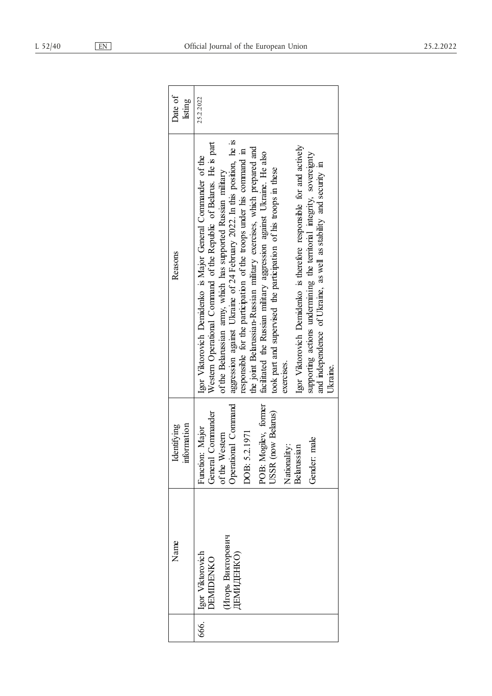| Date of<br>listing        | 25.2.2022                                                                                                                                                                                                                                                                                                                                                                                                                                                                                                                                                                                                                                                                                                                                                                                                                   |
|---------------------------|-----------------------------------------------------------------------------------------------------------------------------------------------------------------------------------------------------------------------------------------------------------------------------------------------------------------------------------------------------------------------------------------------------------------------------------------------------------------------------------------------------------------------------------------------------------------------------------------------------------------------------------------------------------------------------------------------------------------------------------------------------------------------------------------------------------------------------|
| Reasons                   | aggression against Ukraine of 24 February 2022. In this position, he is<br>Western Operational Command of the Republic of Belarus. He is part<br>Igor Viktorovich Demidenko is therefore responsible for and actively<br>the joint Belarussian-Russian military exercises, which prepared and<br>responsible for the participation of the troops under his command in<br>facilitated the Russian military aggression against Ukraine. He also<br>supporting actions undermining the territorial integrity, sovereignty<br>Igor Viktorovich Demidenko is Major General Commander of the<br>and independence of Ukraine, as well as stability and security in<br>took part and supervised the participation of his troops in these<br>of the Belarussian army, which has supported Russian military<br>exercises.<br>Ukraine. |
| information<br>dentifying | POB: Mogilev, former<br>Operational Command<br>(now Belarus)<br>Commander<br>Function: Major<br>DOB: 5.2.1971<br>Western<br>Gender: male<br>Nationality:<br>Belarussian<br>General<br>of the $\lambda$<br>USSR <sub>(</sub>                                                                                                                                                                                                                                                                                                                                                                                                                                                                                                                                                                                                 |
| Name                      | Игорь Викторович<br>Igor Viktorovich<br><b>JEMMUEHKO</b><br>ORMIDENKO                                                                                                                                                                                                                                                                                                                                                                                                                                                                                                                                                                                                                                                                                                                                                       |
|                           | 666.<br>G                                                                                                                                                                                                                                                                                                                                                                                                                                                                                                                                                                                                                                                                                                                                                                                                                   |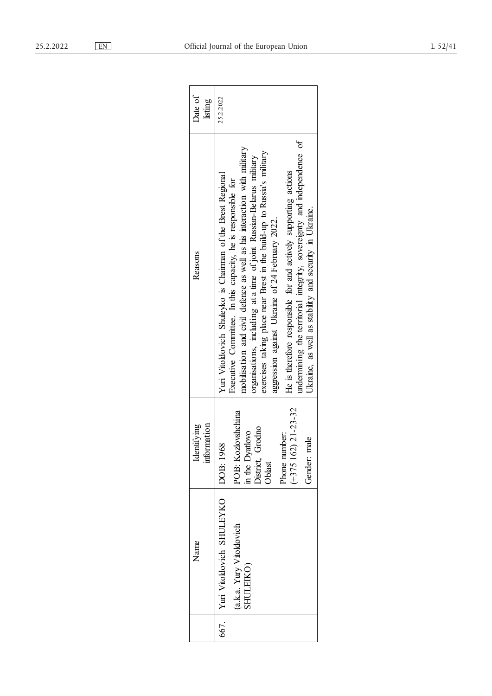| Date of<br>listing            | 25.2.2022                                                                                                                                                                                                                                                                                                                                                                                                                                                                                                                                                                                                          |
|-------------------------------|--------------------------------------------------------------------------------------------------------------------------------------------------------------------------------------------------------------------------------------------------------------------------------------------------------------------------------------------------------------------------------------------------------------------------------------------------------------------------------------------------------------------------------------------------------------------------------------------------------------------|
| Reasons                       | undermining the territorial integrity, sovereignty and independence of<br>mobilisation and civil defence as well as his interaction with military<br>exercises taking place near Brest in the build-up to Russia's military<br>organisations, including at a time of joint Russian-Belarus military<br>He is therefore responsible for and actively supporting actions<br>Yuri Vitoldovich Shuleyko is Chairman of the Brest Regional<br>Executive Committee. In this capacity, he is responsible for<br>Ukraine, as well as stability and security in Ukraine.<br>aggression against Ukraine of 24 February 2022. |
| information<br>entifying<br>₫ | $(+375162)$ 21-23-32<br>POB: Kozlovshchina<br>Grodno<br>in the Dyatlovo<br>Phone number:<br>Gender: male<br>DOB: 1968<br>District,<br>Oblast                                                                                                                                                                                                                                                                                                                                                                                                                                                                       |
| Name                          | 667. Viri Vitoldovich SHULEYKO<br>(a.k.a. Yury Vitoldovich<br><b>SHULEIKO</b>                                                                                                                                                                                                                                                                                                                                                                                                                                                                                                                                      |
|                               |                                                                                                                                                                                                                                                                                                                                                                                                                                                                                                                                                                                                                    |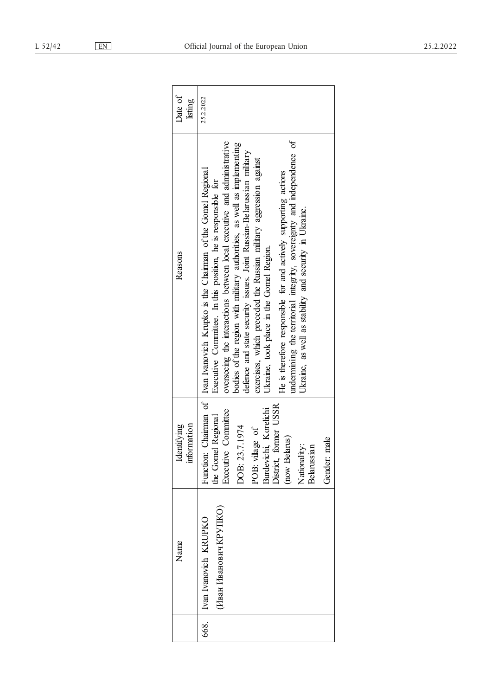| information<br>Identifying                                                                                                                                                                                                                                                      |
|---------------------------------------------------------------------------------------------------------------------------------------------------------------------------------------------------------------------------------------------------------------------------------|
| Function: Chairman of   Ivan Ivanovich Krupko is the Chairman of the Gomel Regional<br>District, former USSR<br>Burdevichi, Korelichi<br>Executive Committee<br>the Gomel Regional<br>DOB: 23.7.1974<br>POB: village of<br>(now Belarus)<br>male<br>Nationality:<br>Belarussian |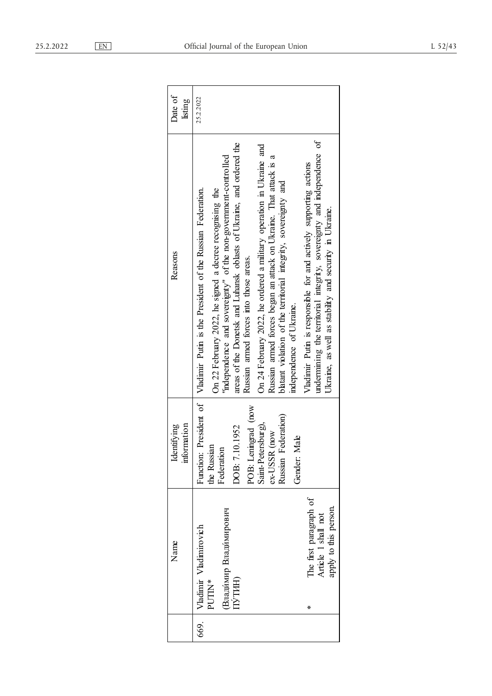| Date of<br>listing         | 25.2.2022                                                                                                                                                                                                                                                                                                                                                                                                                                                                                                                                                                                                                                                                                                                                                                               |
|----------------------------|-----------------------------------------------------------------------------------------------------------------------------------------------------------------------------------------------------------------------------------------------------------------------------------------------------------------------------------------------------------------------------------------------------------------------------------------------------------------------------------------------------------------------------------------------------------------------------------------------------------------------------------------------------------------------------------------------------------------------------------------------------------------------------------------|
| Reasons                    | undermining the territorial integrity, sovereignty and independence of<br>areas of the Donetsk and Luhansk oblasts of Ukraine, and ordered the<br>On 24 February 2022, he ordered a military operation in Ukraine and<br>"independence and sovereignty" of the non-government-controlled<br>Russian armed forces began an attack on Ukraine. That attack is a<br>Vladimir Putin is responsible for and actively supporting actions<br>blatant violation of the territorial integrity, sovereignty and<br>On 22 February 2022, he signed a decree recognising the<br>Function: President of   Vladimir Putin is the President of the Russian Federation.<br>Ukraine, as well as stability and security in Ukraine.<br>Russian armed forces into those areas.<br>independence of Ukraine. |
| information<br>Identifying | POB: Leningrad (now<br>Russian Federation)<br>Saint-Petersburg),<br>OOB: 7.10.1952<br>ex-USSR (now<br>Male<br>the Russian<br>Federation<br>Gender:                                                                                                                                                                                                                                                                                                                                                                                                                                                                                                                                                                                                                                      |
| Name                       | The first paragraph of<br>apply to this person.<br>Владимир Владимирович<br>Article 1 shall not<br>Vladimir Vladimirovich<br>ПУТИН)<br>PUTIN*<br>⋇                                                                                                                                                                                                                                                                                                                                                                                                                                                                                                                                                                                                                                      |
|                            | 669.                                                                                                                                                                                                                                                                                                                                                                                                                                                                                                                                                                                                                                                                                                                                                                                    |